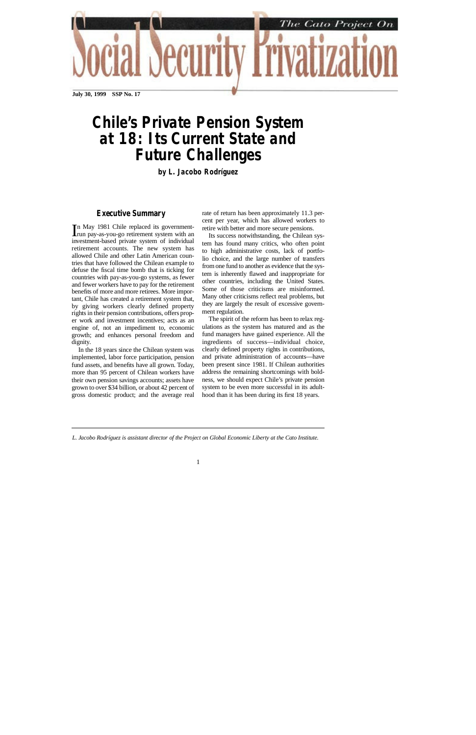

**July 30, 1999 SSP No. 17**

# *Chile's Private Pension System at 18: Its Current State and Future Challenges*

*by L. Jacobo Rodríguez*

# **Executive Summary**

In May 1981 Chile replaced its government-<br>Irun pay-as-you-go retirement system with an In May 1981 Chile replaced its governmentinvestment-based private system of individual retirement accounts. The new system has allowed Chile and other Latin American countries that have followed the Chilean example to defuse the fiscal time bomb that is ticking for countries with pay-as-you-go systems, as fewer and fewer workers have to pay for the retirement benefits of more and more retirees. More important, Chile has created a retirement system that, by giving workers clearly defined property rights in their pension contributions, offers proper work and investment incentives; acts as an engine of, not an impediment to, economic growth; and enhances personal freedom and dignity.

In the 18 years since the Chilean system was implemented, labor force participation, pension fund assets, and benefits have all grown. Today, more than 95 percent of Chilean workers have their own pension savings accounts; assets have grown to over \$34 billion, or about 42 percent of gross domestic product; and the average real

rate of return has been approximately 11.3 percent per year, which has allowed workers to retire with better and more secure pensions.

Its success notwithstanding, the Chilean system has found many critics, who often point to high administrative costs, lack of portfolio choice, and the large number of transfers from one fund to another as evidence that the system is inherently flawed and inappropriate for other countries, including the United States. Some of those criticisms are misinformed. Many other criticisms reflect real problems, but they are largely the result of excessive government regulation.

The spirit of the reform has been to relax regulations as the system has matured and as the fund managers have gained experience. All the ingredients of success—individual choice, clearly defined property rights in contributions, and private administration of accounts—have been present since 1981. If Chilean authorities address the remaining shortcomings with boldness, we should expect Chile's private pension system to be even more successful in its adulthood than it has been during its first 18 years.

*L. Jacobo Rodríguez is assistant director of the Project on Global Economic Liberty at the Cato Institute.*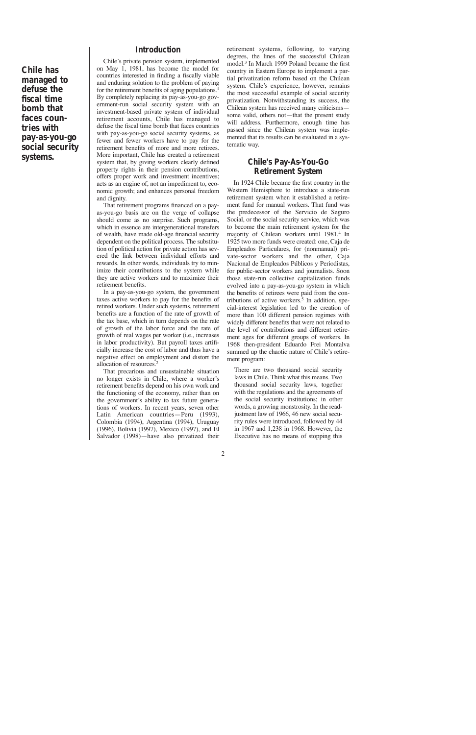**Chile has managed to defuse the fiscal time bomb that faces countries with pay-as-you-go social security systems.**

# **Introduction**

Chile's private pension system, implemented on May 1, 1981, has become the model for countries interested in finding a fiscally viable and enduring solution to the problem of paying for the retirement benefits of aging populations.<sup>1</sup> By completely replacing its pay-as-you-go government-run social security system with an investment-based private system of individual retirement accounts, Chile has managed to defuse the fiscal time bomb that faces countries with pay-as-you-go social security systems, as fewer and fewer workers have to pay for the retirement benefits of more and more retirees. More important, Chile has created a retirement system that, by giving workers clearly defined property rights in their pension contributions, offers proper work and investment incentives; acts as an engine of, not an impediment to, economic growth; and enhances personal freedom and dignity.

That retirement programs financed on a payas-you-go basis are on the verge of collapse should come as no surprise. Such programs, which in essence are intergenerational transfers of wealth, have made old-age financial security dependent on the political process. The substitution of political action for private action has severed the link between individual efforts and rewards. In other words, individuals try to minimize their contributions to the system while they are active workers and to maximize their retirement benefits.

In a pay-as-you-go system, the government taxes active workers to pay for the benefits of retired workers. Under such systems, retirement benefits are a function of the rate of growth of the tax base, which in turn depends on the rate of growth of the labor force and the rate of growth of real wages per worker (i.e., increases in labor productivity). But payroll taxes artificially increase the cost of labor and thus have a negative effect on employment and distort the allocation of resources.2

That precarious and unsustainable situation no longer exists in Chile, where a worker's retirement benefits depend on his own work and the functioning of the economy, rather than on the government's ability to tax future generations of workers. In recent years, seven other Latin American countries—Peru (1993), Colombia (1994), Argentina (1994), Uruguay (1996), Bolivia (1997), Mexico (1997), and El Salvador (1998)—have also privatized their retirement systems, following, to varying degrees, the lines of the successful Chilean model.3 In March 1999 Poland became the first country in Eastern Europe to implement a partial privatization reform based on the Chilean system. Chile's experience, however, remains the most successful example of social security privatization. Notwithstanding its success, the Chilean system has received many criticisms some valid, others not—that the present study will address. Furthermore, enough time has passed since the Chilean system was implemented that its results can be evaluated in a systematic way.

# **Chile's Pay-As-You-Go Retirement System**

In 1924 Chile became the first country in the Western Hemisphere to introduce a state-run retirement system when it established a retirement fund for manual workers. That fund was the predecessor of the Servicio de Seguro Social, or the social security service, which was to become the main retirement system for the majority of Chilean workers until 1981.<sup>4</sup> In 1925 two more funds were created: one, Caja de Empleados Particulares, for (nonmanual) private-sector workers and the other, Caja Nacional de Empleados Públicos y Periodistas, for public-sector workers and journalists. Soon those state-run collective capitalization funds evolved into a pay-as-you-go system in which the benefits of retirees were paid from the contributions of active workers.<sup>5</sup> In addition, special-interest legislation led to the creation of more than 100 different pension regimes with widely different benefits that were not related to the level of contributions and different retirement ages for different groups of workers. In 1968 then-president Eduardo Frei Montalva summed up the chaotic nature of Chile's retirement program:

There are two thousand social security laws in Chile. Think what this means. Two thousand social security laws, together with the regulations and the agreements of the social security institutions; in other words, a growing monstrosity. In the readjustment law of 1966, 46 new social security rules were introduced, followed by 44 in 1967 and 1,238 in 1968. However, the Executive has no means of stopping this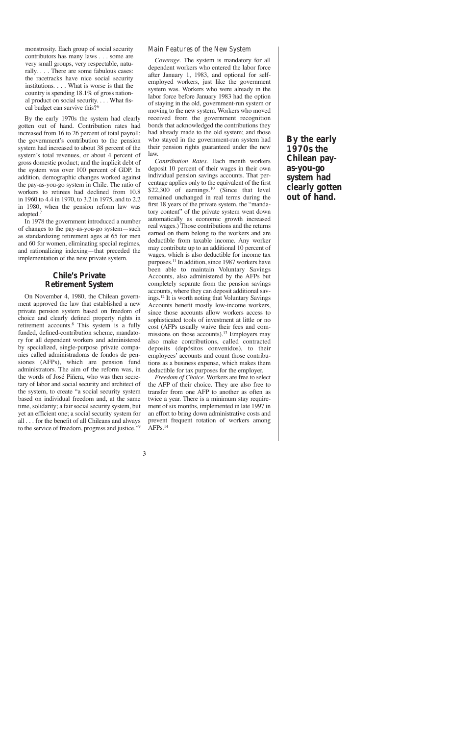monstrosity. Each group of social security contributors has many laws . . . some are very small groups, very respectable, naturally. . . . There are some fabulous cases: the racetracks have nice social security institutions. . . . What is worse is that the country is spending 18.1% of gross national product on social security. . . . What fiscal budget can survive this?<sup>6</sup>

By the early 1970s the system had clearly gotten out of hand. Contribution rates had increased from 16 to 26 percent of total payroll; the government's contribution to the pension system had increased to about 38 percent of the system's total revenues, or about 4 percent of gross domestic product; and the implicit debt of the system was over 100 percent of GDP. In addition, demographic changes worked against the pay-as-you-go system in Chile. The ratio of workers to retirees had declined from 10.8 in 1960 to 4.4 in 1970, to 3.2 in 1975, and to 2.2 in 1980, when the pension reform law was adopted.7

In 1978 the government introduced a number of changes to the pay-as-you-go system—such as standardizing retirement ages at 65 for men and 60 for women, eliminating special regimes, and rationalizing indexing—that preceded the implementation of the new private system.

# **Chile's Private Retirement System**

On November 4, 1980, the Chilean government approved the law that established a new private pension system based on freedom of choice and clearly defined property rights in retirement accounts.<sup>8</sup> This system is a fully funded, defined-contribution scheme, mandatory for all dependent workers and administered by specialized, single-purpose private companies called administradoras de fondos de pensiones (AFPs), which are pension fund administrators. The aim of the reform was, in the words of José Piñera, who was then secretary of labor and social security and architect of the system, to create "a social security system based on individual freedom and, at the same time, solidarity; a fair social security system, but yet an efficient one; a social security system for all . . . for the benefit of all Chileans and always to the service of freedom, progress and justice."9

#### Main Features of the New System

*Coverage.* The system is mandatory for all dependent workers who entered the labor force after January 1, 1983, and optional for selfemployed workers, just like the government system was. Workers who were already in the labor force before January 1983 had the option of staying in the old, government-run system or moving to the new system. Workers who moved received from the government recognition bonds that acknowledged the contributions they had already made to the old system; and those who stayed in the government-run system had their pension rights guaranteed under the new law.

*Contribution Rates.* Each month workers deposit 10 percent of their wages in their own individual pension savings accounts. That percentage applies only to the equivalent of the first  $$22,300$  of earnings.<sup>10</sup> (Since that level remained unchanged in real terms during the first 18 years of the private system, the "mandatory content" of the private system went down automatically as economic growth increased real wages.) Those contributions and the returns earned on them belong to the workers and are deductible from taxable income. Any worker may contribute up to an additional 10 percent of wages, which is also deductible for income tax purposes.11 In addition, since 1987 workers have been able to maintain Voluntary Savings Accounts, also administered by the AFPs but completely separate from the pension savings accounts, where they can deposit additional savings.12 It is worth noting that Voluntary Savings Accounts benefit mostly low-income workers, since those accounts allow workers access to sophisticated tools of investment at little or no cost (AFPs usually waive their fees and commissions on those accounts).<sup>13</sup> Employers may also make contributions, called contracted deposits (depósitos convenidos), to their employees' accounts and count those contributions as a business expense, which makes them deductible for tax purposes for the employer.

*Freedom of Choice.* Workers are free to select the AFP of their choice. They are also free to transfer from one AFP to another as often as twice a year. There is a minimum stay requirement of six months, implemented in late 1997 in an effort to bring down administrative costs and prevent frequent rotation of workers among  $AFPs.<sup>14</sup>$ 

**By the early 1970s the Chilean payas-you-go system had clearly gotten out of hand.**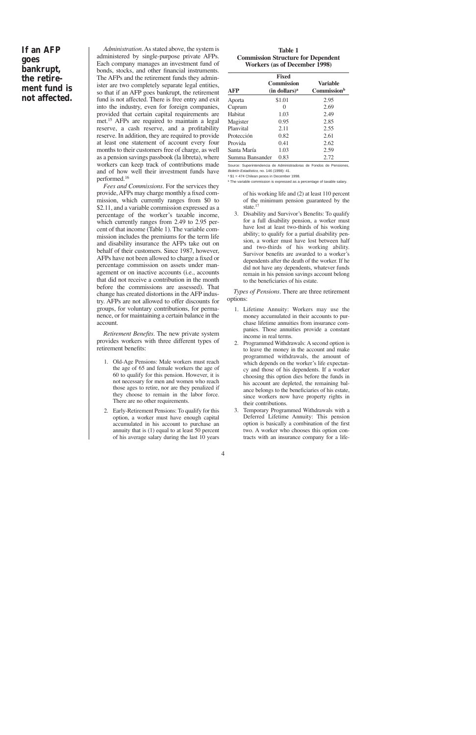# **If an AFP goes bankrupt, the retirement fund is not affected.**

*Administration.*As stated above, the system is administered by single-purpose private AFPs. Each company manages an investment fund of bonds, stocks, and other financial instruments. The AFPs and the retirement funds they administer are two completely separate legal entities, so that if an AFP goes bankrupt, the retirement fund is not affected. There is free entry and exit into the industry, even for foreign companies, provided that certain capital requirements are met.<sup>15</sup> AFPs are required to maintain a legal reserve, a cash reserve, and a profitability reserve. In addition, they are required to provide at least one statement of account every four months to their customers free of charge, as well as a pension savings passbook (la libreta), where workers can keep track of contributions made and of how well their investment funds have performed.16

*Fees and Commissions.* For the services they provide, AFPs may charge monthly a fixed commission, which currently ranges from \$0 to \$2.11, and a variable commission expressed as a percentage of the worker's taxable income, which currently ranges from 2.49 to 2.95 percent of that income (Table 1). The variable commission includes the premiums for the term life and disability insurance the AFPs take out on behalf of their customers. Since 1987, however, AFPs have not been allowed to charge a fixed or percentage commission on assets under management or on inactive accounts (i.e., accounts that did not receive a contribution in the month before the commissions are assessed). That change has created distortions in the AFP industry. AFPs are not allowed to offer discounts for groups, for voluntary contributions, for permanence, or for maintaining a certain balance in the account.

*Retirement Benefits.* The new private system provides workers with three different types of retirement benefits:

- 1. Old-Age Pensions: Male workers must reach the age of 65 and female workers the age of 60 to qualify for this pension. However, it is not necessary for men and women who reach those ages to retire, nor are they penalized if they choose to remain in the labor force. There are no other requirements.
- 2. Early-Retirement Pensions: To qualify for this option, a worker must have enough capital accumulated in his account to purchase an annuity that is (1) equal to at least 50 percent of his average salary during the last 10 years

#### **Table 1 Commission Structure for Dependent Workers (as of December 1998)**

| <b>AFP</b>      | <b>Fixed</b><br><b>Commission</b><br>(in dollars) <sup>a</sup> | <b>Variable</b><br>Commission <sup>b</sup> |
|-----------------|----------------------------------------------------------------|--------------------------------------------|
| Aporta          | \$1.01                                                         | 2.95                                       |
| Cuprum          | $\mathcal{O}$                                                  | 2.69                                       |
| Habitat         | 1.03                                                           | 2.49                                       |
| Magister        | 0.95                                                           | 2.85                                       |
| Planvital       | 2.11                                                           | 2.55                                       |
| Protección      | 0.82                                                           | 2.61                                       |
| Provida         | 0.41                                                           | 2.62                                       |
| Santa María     | 1.03                                                           | 2.59                                       |
| Summa Bansander | 0.83                                                           | 2.72                                       |

Source: Superintendencia de Administradoras de Fondos de Pensiones, Boletín Estadístico, no. 146 (1998): 41.

 $a$  \$1 = 474 Chilean pesos in December 1998.

<sup>b</sup> The variable commission is expressed as a percentage of taxable salary.

of his working life and (2) at least 110 percent of the minimum pension guaranteed by the state.<sup>17</sup>

3. Disability and Survivor's Benefits: To qualify for a full disability pension, a worker must have lost at least two-thirds of his working ability; to qualify for a partial disability pension, a worker must have lost between half and two-thirds of his working ability. Survivor benefits are awarded to a worker's dependents after the death of the worker. If he did not have any dependents, whatever funds remain in his pension savings account belong to the beneficiaries of his estate.

*Types of Pensions.* There are three retirement options:

- 1. Lifetime Annuity: Workers may use the money accumulated in their accounts to purchase lifetime annuities from insurance companies. Those annuities provide a constant income in real terms.
- 2. Programmed Withdrawals: A second option is to leave the money in the account and make programmed withdrawals, the amount of which depends on the worker's life expectancy and those of his dependents. If a worker choosing this option dies before the funds in his account are depleted, the remaining balance belongs to the beneficiaries of his estate, since workers now have property rights in their contributions.
- 3. Temporary Programmed Withdrawals with a Deferred Lifetime Annuity: This pension option is basically a combination of the first two. A worker who chooses this option contracts with an insurance company for a life-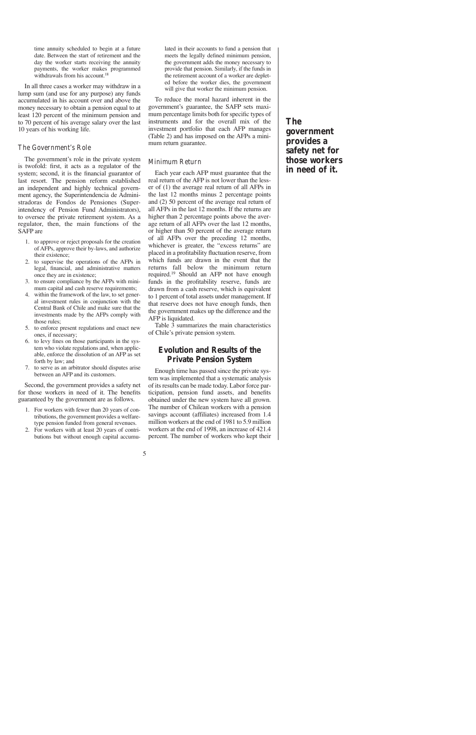time annuity scheduled to begin at a future date. Between the start of retirement and the day the worker starts receiving the annuity payments, the worker makes programmed withdrawals from his account.<sup>18</sup>

In all three cases a worker may withdraw in a lump sum (and use for any purpose) any funds accumulated in his account over and above the money necessary to obtain a pension equal to at least 120 percent of the minimum pension and to 70 percent of his average salary over the last 10 years of his working life.

### The Government's Role

The government's role in the private system is twofold: first, it acts as a regulator of the system; second, it is the financial guarantor of last resort. The pension reform established an independent and highly technical government agency, the Superintendencia de Administradoras de Fondos de Pensiones (Superintendency of Pension Fund Administrators), to oversee the private retirement system. As a regulator, then, the main functions of the SAFP are

- 1. to approve or reject proposals for the creation of AFPs, approve their by-laws, and authorize their existence;
- 2. to supervise the operations of the AFPs in legal, financial, and administrative matters once they are in existence;
- 3. to ensure compliance by the AFPs with minimum capital and cash reserve requirements;
- 4. within the framework of the law, to set general investment rules in conjunction with the Central Bank of Chile and make sure that the investments made by the AFPs comply with those rules;
- 5. to enforce present regulations and enact new ones, if necessary;
- 6. to levy fines on those participants in the system who violate regulations and, when applicable, enforce the dissolution of an AFP as set forth by law; and
- 7. to serve as an arbitrator should disputes arise between an AFP and its customers.

Second, the government provides a safety net for those workers in need of it. The benefits guaranteed by the government are as follows.

- 1. For workers with fewer than 20 years of contributions, the government provides a welfaretype pension funded from general revenues.
- 2. For workers with at least 20 years of contributions but without enough capital accumu-

lated in their accounts to fund a pension that meets the legally defined minimum pension, the government adds the money necessary to provide that pension. Similarly, if the funds in the retirement account of a worker are depleted before the worker dies, the government will give that worker the minimum pension.

To reduce the moral hazard inherent in the government's guarantee, the SAFP sets maximum percentage limits both for specific types of instruments and for the overall mix of the investment portfolio that each AFP manages (Table 2) and has imposed on the AFPs a minimum return guarantee.

### Minimum Return

Each year each AFP must guarantee that the real return of the AFP is not lower than the lesser of (1) the average real return of all AFPs in the last 12 months minus 2 percentage points and (2) 50 percent of the average real return of all AFPs in the last 12 months. If the returns are higher than 2 percentage points above the average return of all AFPs over the last 12 months, or higher than 50 percent of the average return of all AFPs over the preceding 12 months, whichever is greater, the "excess returns" are placed in a profitability fluctuation reserve, from which funds are drawn in the event that the returns fall below the minimum return required.19 Should an AFP not have enough funds in the profitability reserve, funds are drawn from a cash reserve, which is equivalent to 1 percent of total assets under management. If that reserve does not have enough funds, then the government makes up the difference and the AFP is liquidated.

Table 3 summarizes the main characteristics of Chile's private pension system.

# **Evolution and Results of the Private Pension System**

Enough time has passed since the private system was implemented that a systematic analysis of its results can be made today. Labor force participation, pension fund assets, and benefits obtained under the new system have all grown. The number of Chilean workers with a pension savings account (affiliates) increased from 1.4 million workers at the end of 1981 to 5.9 million workers at the end of 1998, an increase of 421.4 percent. The number of workers who kept their

**The government provides a safety net for those workers in need of it.**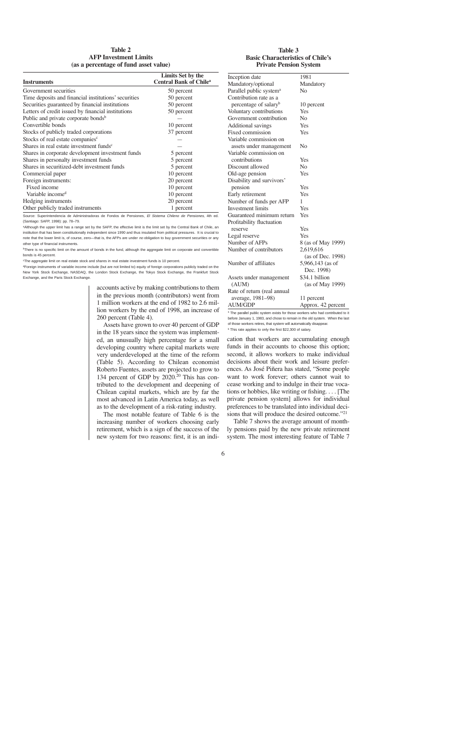#### **Table 2 AFP Investment Limits (as a percentage of fund asset value)**

#### **Table 3 Basic Characteristics of Chile's Private Pension System**

| <b>Instruments</b>                                   | Limits Set by the<br><b>Central Bank of Chile<sup>a</sup></b> |
|------------------------------------------------------|---------------------------------------------------------------|
| Government securities                                | 50 percent                                                    |
| Time deposits and financial institutions' securities | 50 percent                                                    |
| Securities guaranteed by financial institutions      | 50 percent                                                    |
| Letters of credit issued by financial institutions   | 50 percent                                                    |
| Public and private corporate bonds <sup>b</sup>      |                                                               |
| Convertible bonds                                    | 10 percent                                                    |
| Stocks of publicly traded corporations               | 37 percent                                                    |
| Stocks of real estate companies <sup>c</sup>         |                                                               |
| Shares in real estate investment funds <sup>c</sup>  |                                                               |
| Shares in corporate development investment funds     | 5 percent                                                     |
| Shares in personalty investment funds                | 5 percent                                                     |
| Shares in securitized-debt investment funds          | 5 percent                                                     |
| Commercial paper                                     | 10 percent                                                    |
| Foreign instruments:                                 | 20 percent                                                    |
| Fixed income                                         | 10 percent                                                    |
| Variable income <sup>d</sup>                         | 10 percent                                                    |
| Hedging instruments                                  | 20 percent                                                    |
| Other publicly traded instruments                    | 1 percent                                                     |

Source: Superintendencia de Administradoras de Fondos de Pensiones, El Sistema Chileno de Pensiones, 4th ed. (Santiago: SAFP, 1998): pp. 78–79.

aAlthough the upper limit has a range set by the SAFP, the effective limit is the limit set by the Central Bank of Chile, an institution that has been constitutionally independent since 1990 and thus insulated from political pressures. It is crucial to note that the lower limit is, of course, zero—that is, the AFPs are under no obligation to buy government securities or any other type of financial instruments.

<sup>b</sup>There is no specific limit on the amount of bonds in the fund, although the aggregate limit on corporate and convertible bonds is 45 percent.

cThe aggregate limit on real estate stock and shares in real estate investment funds is 10 percent.

dForeign instruments of variable income include (but are not limited to) equity of foreign corporations publicly traded on the New York Stock Exchange, NASDAQ, the London Stock Exchange, the Tokyo Stock Exchange, the Frankfurt Stock Exchange, and the Paris Stock Exchange.

> accounts active by making contributions to them in the previous month (contributors) went from 1 million workers at the end of 1982 to 2.6 million workers by the end of 1998, an increase of 260 percent (Table 4).

> Assets have grown to over 40 percent of GDP in the 18 years since the system was implemented, an unusually high percentage for a small developing country where capital markets were very underdeveloped at the time of the reform (Table 5). According to Chilean economist Roberto Fuentes, assets are projected to grow to 134 percent of GDP by  $2020$ .<sup>20</sup> This has contributed to the development and deepening of Chilean capital markets, which are by far the most advanced in Latin America today, as well as to the development of a risk-rating industry.

> The most notable feature of Table 6 is the increasing number of workers choosing early retirement, which is a sign of the success of the new system for two reasons: first, it is an indi-

| Inception date                      | 1981               |
|-------------------------------------|--------------------|
| Mandatory/optional                  | Mandatory          |
| Parallel public system <sup>a</sup> | No                 |
| Contribution rate as a              |                    |
| percentage of salary <sup>b</sup>   | 10 percent         |
| Voluntary contributions             | Yes                |
| Government contribution             | No                 |
| Additional savings                  | Yes                |
| Fixed commission                    | Yes                |
| Variable commission on              |                    |
| assets under management             | No                 |
| Variable commission on              |                    |
| contributions                       | Yes                |
| Discount allowed                    | N <sub>0</sub>     |
| Old-age pension                     | Yes                |
| Disability and survivors'           |                    |
| pension                             | Yes                |
| Early retirement                    | Yes                |
| Number of funds per AFP             | 1                  |
| Investment limits                   | Yes                |
| Guaranteed minimum return           | Yes                |
| Profitability fluctuation           |                    |
| reserve                             | Yes                |
| Legal reserve                       | Yes                |
| Number of AFPs                      | 8 (as of May 1999) |
| Number of contributors              | 2,619,616          |
|                                     | (as of Dec. 1998)  |
| Number of affiliates                | 5,966,143 (as of   |
|                                     | Dec. 1998)         |
| Assets under management             | \$34.1 billion     |
| (AUM)                               | (as of May 1999)   |
| Rate of return (real annual         |                    |
| average, 1981-98)                   | 11 percent         |
| <b>AUM/GDP</b>                      | Approx. 42 percent |

<sup>a</sup> The parallel public system exists for those workers who had contributed to it before January 1, 1983, and chose to remain in the old system. When the last of those workers retires, that system will automatically disappear.

**b** This rate applies to only the first \$22,300 of salary.

cation that workers are accumulating enough funds in their accounts to choose this option; second, it allows workers to make individual decisions about their work and leisure preferences. As José Piñera has stated, "Some people want to work forever; others cannot wait to cease working and to indulge in their true vocations or hobbies, like writing or fishing. . . . [The private pension system] allows for individual preferences to be translated into individual decisions that will produce the desired outcome."<sup>21</sup>

Table 7 shows the average amount of monthly pensions paid by the new private retirement system. The most interesting feature of Table 7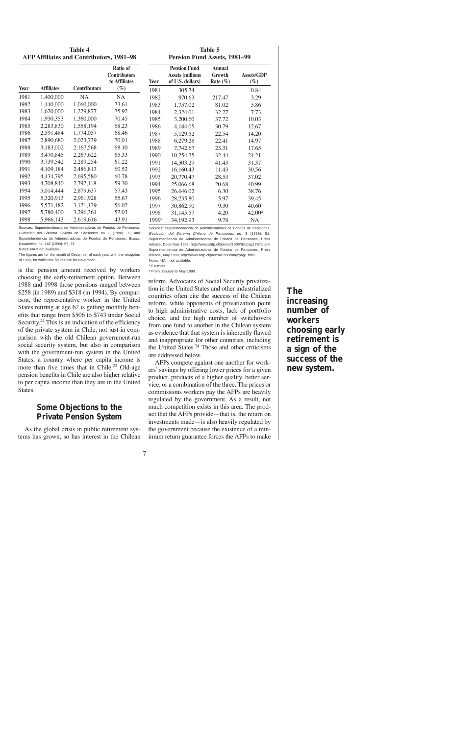| <b>Table 4</b>                                  |  |
|-------------------------------------------------|--|
| <b>AFP Affiliates and Contributors, 1981–98</b> |  |

**Table 5 Pension Fund Assets, 1981–99**

|      |                   |                     | <b>Ratio of</b><br><b>Contributors</b><br>to Affiliates | <b>Year</b>       | <b>Pension Fund</b><br><b>Assets (millions</b><br>of U.S. dollars) | <b>Annual</b><br>Growth<br>Rate $(\%)$ | Assets/GDP<br>$(\%)$ |
|------|-------------------|---------------------|---------------------------------------------------------|-------------------|--------------------------------------------------------------------|----------------------------------------|----------------------|
| Year | <b>Affiliates</b> | <b>Contributors</b> | $(\%)$                                                  | 1981              | 305.74                                                             |                                        | 0.84                 |
| 1981 | 1,400,000         | <b>NA</b>           | <b>NA</b>                                               | 1982              | 970.63                                                             | 217.47                                 | 3.29                 |
| 1982 | 1,440,000         | 1,060,000           | 73.61                                                   | 1983              | 1,757.02                                                           | 81.02                                  | 5.86                 |
| 1983 | 1,620,000         | 1,229,877           | 75.92                                                   | 1984              | 2,324.01                                                           | 32.27                                  | 7.73                 |
| 1984 | 1,930,353         | 1,360,000           | 70.45                                                   | 1985              | 3,200.60                                                           | 37.72                                  | 10.03                |
| 1985 | 2,283,830         | 1,558,194           | 68.23                                                   | 1986              | 4,184.05                                                           | 30.79                                  | 12.67                |
| 1986 | 2,591,484         | 1,774,057           | 68.46                                                   | 1987              | 5,129.52                                                           | 22.54                                  | 14.20                |
| 1987 | 2,890,680         | 2,023,739           | 70.01                                                   | 1988              | 6,279.28                                                           | 22.41                                  | 14.97                |
| 1988 | 3,183,002         | 2,167,568           | 68.10                                                   | 1989              | 7,742.67                                                           | 23.31                                  | 17.65                |
| 1989 | 3,470,845         | 2,267,622           | 65.33                                                   | 1990              | 10,254.75                                                          | 32.44                                  | 24.21                |
| 1990 | 3,739,542         | 2,289,254           | 61.22                                                   | 1991              | 14,503.29                                                          | 41.43                                  | 31.37                |
| 1991 | 4,109,184         | 2,486,813           | 60.52                                                   | 1992              | 16,160.43                                                          | 11.43                                  | 30.56                |
| 1992 | 4,434,795         | 2.695.580           | 60.78                                                   | 1993              | 20,770.47                                                          | 28.53                                  | 37.02                |
| 1993 | 4,708,840         | 2,792,118           | 59.30                                                   | 1994              | 25,066.68                                                          | 20.68                                  | 40.99                |
| 1994 | 5,014,444         | 2,879,637           | 57.43                                                   | 1995              | 26,646.02                                                          | 6.30                                   | 38.76                |
| 1995 | 5,320,913         | 2,961,928           | 55.67                                                   | 1996              | 28,235.80                                                          | 5.97                                   | 39.45                |
| 1996 | 5,571,482         | 3,121,139           | 56.02                                                   | 1997              | 30,862.90                                                          | 9.30                                   | 40.60                |
| 1997 | 5,780,400         | 3,296,361           | 57.03                                                   | 1998              | 31,145.57                                                          | 4.20                                   | $42.00^{\rm a}$      |
| 1998 | 5,966,143         | 2,619,616           | 43.91                                                   | 1999 <sup>b</sup> | 34,192.93                                                          | 9.78                                   | NA                   |

Sources: Superintendencia de Administradoras de Fondos de Pensiones, Evolución del Sistema Chileno de Pensiones, no. 3 (1998): 33; and Superintendencia de Administradoras de Fondos de Pensiones, Boletín Estadístico, no. 148 (1999): 57, 73.

Notes: NA = not available.

The figures are for the month of December of each year, with the exception of 1990, for which the figures are for November.

is the pension amount received by workers choosing the early-retirement option. Between 1988 and 1998 those pensions ranged between \$258 (in 1989) and \$318 (in 1994). By comparison, the representative worker in the United States retiring at age 62 is getting monthly benefits that range from \$506 to \$743 under Social Security.<sup>22</sup> This is an indication of the efficiency of the private system in Chile, not just in comparison with the old Chilean government-run social security system, but also in comparison with the government-run system in the United States, a country where per capita income is more than five times that in Chile.<sup>23</sup> Old-age pension benefits in Chile are also higher relative to per capita income than they are in the United States.

# **Some Objections to the Private Pension System**

As the global crisis in public retirement systems has grown, so has interest in the Chilean

Sources: Superintendencia de Administradoras de Fondos de Pensiones, Evolución del Sistema Chileno de Pensiones, no. 3 (1998): 51; Superintendencia de Administradoras de Fondos de Pensiones, Press release, December 1998, http://www.safp.cl/prensa/1998/dic/pag1.html; and Superintendencia de Administradoras de Fondos de Pensiones, Press release, May 1999, http://www.safp.cl/prensa/1999/may/pag1.html. Notes: NA = not available.

<sup>a</sup> Estimate.

**b From January to May 1999.** 

reform. Advocates of Social Security privatization in the United States and other industrialized countries often cite the success of the Chilean reform, while opponents of privatization point to high administrative costs, lack of portfolio choice, and the high number of switchovers from one fund to another in the Chilean system as evidence that that system is inherently flawed and inappropriate for other countries, including the United States. $24$  Those and other criticisms are addressed below.

AFPs compete against one another for workers' savings by offering lower prices for a given product, products of a higher quality, better service, or a combination of the three. The prices or commissions workers pay the AFPs are heavily regulated by the government. As a result, not much competition exists in this area. The product that the AFPs provide—that is, the return on investments made—is also heavily regulated by the government because the existence of a minimum return guarantee forces the AFPs to make

# **The increasing number of workers choosing early retirement is a sign of the success of the new system.**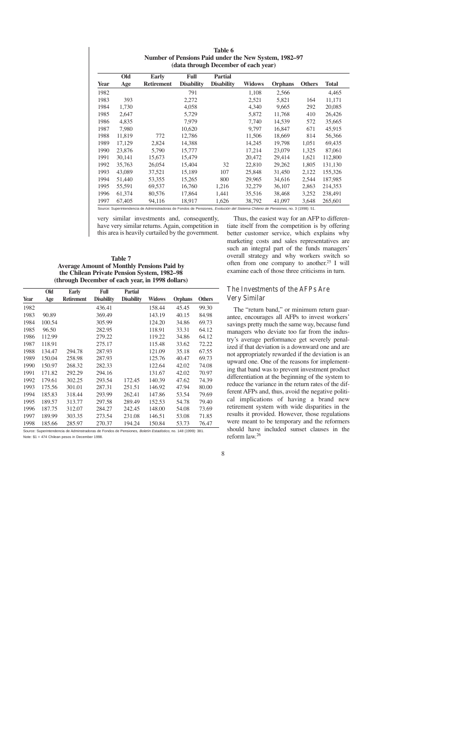|             | $\mu$ and the origin December of each $\mu$ can $\mu$ |                   |                   |                   |               |                |               |              |  |
|-------------|-------------------------------------------------------|-------------------|-------------------|-------------------|---------------|----------------|---------------|--------------|--|
|             | Old                                                   | <b>Early</b>      | Full              | <b>Partial</b>    |               |                |               |              |  |
| <b>Year</b> | Age                                                   | <b>Retirement</b> | <b>Disability</b> | <b>Disability</b> | <b>Widows</b> | <b>Orphans</b> | <b>Others</b> | <b>Total</b> |  |
| 1982        |                                                       |                   | 791               |                   | 1,108         | 2,566          |               | 4,465        |  |
| 1983        | 393                                                   |                   | 2,272             |                   | 2,521         | 5,821          | 164           | 11,171       |  |
| 1984        | 1,730                                                 |                   | 4,058             |                   | 4,340         | 9,665          | 292           | 20,085       |  |
| 1985        | 2,647                                                 |                   | 5,729             |                   | 5,872         | 11,768         | 410           | 26,426       |  |
| 1986        | 4,835                                                 |                   | 7.979             |                   | 7,740         | 14,539         | 572           | 35,665       |  |
| 1987        | 7,980                                                 |                   | 10,620            |                   | 9.797         | 16,847         | 671           | 45,915       |  |
| 1988        | 11,819                                                | 772               | 12,786            |                   | 11,506        | 18,669         | 814           | 56,366       |  |
| 1989        | 17,129                                                | 2,824             | 14,388            |                   | 14,245        | 19,798         | 1,051         | 69,435       |  |
| 1990        | 23,876                                                | 5,790             | 15,777            |                   | 17,214        | 23,079         | 1,325         | 87,061       |  |
| 1991        | 30,141                                                | 15,673            | 15,479            |                   | 20,472        | 29,414         | 1,621         | 112,800      |  |
| 1992        | 35,763                                                | 26,054            | 15,404            | 32                | 22,810        | 29,262         | 1,805         | 131,130      |  |
| 1993        | 43,089                                                | 37.521            | 15,189            | 107               | 25,848        | 31,450         | 2,122         | 155,326      |  |
| 1994        | 51,440                                                | 53,355            | 15,265            | 800               | 29,965        | 34,616         | 2,544         | 187,985      |  |
| 1995        | 55,591                                                | 69,537            | 16,760            | 1,216             | 32,279        | 36,107         | 2,863         | 214,353      |  |
| 1996        | 61,374                                                | 80,576            | 17,864            | 1,441             | 35,516        | 38,468         | 3,252         | 238,491      |  |
| 1997        | 67,405                                                | 94,116            | 18,917            | 1,626             | 38,792        | 41,097         | 3,648         | 265,601      |  |

**Table 6 Number of Pensions Paid under the New System, 1982–97 (data through December of each year)**

Source: Superintendencia de Administradoras de Fondos de Pensiones, Evolución del Sistema Chileno de Pensiones, no. 3 (1998): 51.

very similar investments and, consequently, have very similar returns. Again, competition in this area is heavily curtailed by the government.

#### **Table 7 Average Amount of Monthly Pensions Paid by the Chilean Private Pension System, 1982–98 (through December of each year, in 1998 dollars)**

|      | Old    | <b>Early</b>      | Full              | <b>Partial</b>    |               |                |               |
|------|--------|-------------------|-------------------|-------------------|---------------|----------------|---------------|
| Year | Age    | <b>Retirement</b> | <b>Disability</b> | <b>Disability</b> | <b>Widows</b> | <b>Orphans</b> | <b>Others</b> |
| 1982 |        |                   | 436.41            |                   | 158.44        | 45.45          | 99.30         |
| 1983 | 90.89  |                   | 369.49            |                   | 143.19        | 40.15          | 84.98         |
| 1984 | 100.54 |                   | 305.99            |                   | 124.20        | 34.86          | 69.73         |
| 1985 | 96.50  |                   | 282.95            |                   | 118.91        | 33.31          | 64.12         |
| 1986 | 112.99 |                   | 279.22            |                   | 119.22        | 34.86          | 64.12         |
| 1987 | 118.91 |                   | 275.17            |                   | 115.48        | 33.62          | 72.22         |
| 1988 | 134.47 | 294.78            | 287.93            |                   | 121.09        | 35.18          | 67.55         |
| 1989 | 150.04 | 258.98            | 287.93            |                   | 125.76        | 40.47          | 69.73         |
| 1990 | 150.97 | 268.32            | 282.33            |                   | 122.64        | 42.02          | 74.08         |
| 1991 | 171.82 | 292.29            | 294.16            |                   | 131.67        | 42.02          | 70.97         |
| 1992 | 179.61 | 302.25            | 293.54            | 172.45            | 140.39        | 47.62          | 74.39         |
| 1993 | 175.56 | 301.01            | 287.31            | 251.51            | 146.92        | 47.94          | 80.00         |
| 1994 | 185.83 | 318.44            | 293.99            | 262.41            | 147.86        | 53.54          | 79.69         |
| 1995 | 189.57 | 313.77            | 297.58            | 289.49            | 152.53        | 54.78          | 79.40         |
| 1996 | 187.75 | 312.07            | 284.27            | 242.45            | 148.00        | 54.08          | 73.69         |
| 1997 | 189.99 | 303.35            | 273.54            | 231.08            | 146.51        | 53.08          | 71.85         |
| 1998 | 185.66 | 285.97            | 270.37            | 194.24            | 150.84        | 53.73          | 76.47         |

Source: Superintendencia de Adminstradoras de Fondos de Pensiones, Boletín Estadístico, no. 148 (1999): 381. Note: \$1 = 474 Chilean pesos in December 1998.

Thus, the easiest way for an AFP to differentiate itself from the competition is by offering better customer service, which explains why marketing costs and sales representatives are such an integral part of the funds managers' overall strategy and why workers switch so often from one company to another.25 I will examine each of those three criticisms in turn.

# The Investments of the AFPs Are Very Similar

The "return band," or minimum return guarantee, encourages all AFPs to invest workers' savings pretty much the same way, because fund managers who deviate too far from the industry's average performance get severely penalized if that deviation is a downward one and are not appropriately rewarded if the deviation is an upward one. One of the reasons for implementing that band was to prevent investment product differentiation at the beginning of the system to reduce the variance in the return rates of the different AFPs and, thus, avoid the negative political implications of having a brand new retirement system with wide disparities in the results it provided. However, those regulations were meant to be temporary and the reformers should have included sunset clauses in the reform law.26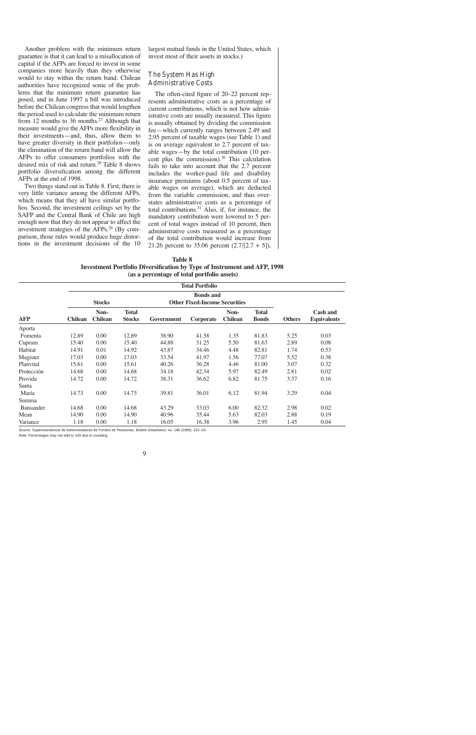Another problem with the minimum return guarantee is that it can lead to a misallocation of capital if the AFPs are forced to invest in some companies more heavily than they otherwise would to stay within the return band. Chilean authorities have recognized some of the problems that the minimum return guarantee has posed, and in June 1997 a bill was introduced before the Chilean congress that would lengthen the period used to calculate the minimum return from 12 months to 36 months.<sup>27</sup> Although that measure would give the AFPs more flexibility in their investments—and, thus, allow them to have greater diversity in their portfolios—only the elimination of the return band will allow the AFPs to offer consumers portfolios with the desired mix of risk and return.<sup>28</sup> Table 8 shows portfolio diversification among the different AFPs at the end of 1998.

Two things stand out in Table 8. First, there is very little variance among the different AFPs, which means that they all have similar portfolios. Second, the investment ceilings set by the SAFP and the Central Bank of Chile are high enough now that they do not appear to affect the investment strategies of the AFPs.29 (By comparison, those rules would produce huge distortions in the investment decisions of the 10 largest mutual funds in the United States, which invest most of their assets in stocks.)

### The System Has High Administrative Costs

The often-cited figure of 20–22 percent represents administrative costs as a percentage of current contributions, which is not how administrative costs are usually measured. This figure is usually obtained by dividing the commission fee—which currently ranges between 2.49 and 2.95 percent of taxable wages (see Table 1) and is on average equivalent to 2.7 percent of taxable wages—by the total contribution (10 percent plus the commission).30 This calculation fails to take into account that the 2.7 percent includes the worker-paid life and disability insurance premiums (about 0.5 percent of taxable wages on average), which are deducted from the variable commission, and thus overstates administrative costs as a percentage of total contributions.<sup>31</sup> Also, if, for instance, the mandatory contribution were lowered to 5 percent of total wages instead of 10 percent, then administrative costs measured as a percentage of the total contribution would increase from 21.26 percent to 35.06 percent  $(2.7/[2.7 + 5])$ ,

**Table 8 Investment Portfolio Diversification by Type of Instrument and AFP, 1998 (as a percentage of total portfolio assets)**

|            | <b>Total Portfolio</b> |                |               |            |                                      |                |              |               |                    |
|------------|------------------------|----------------|---------------|------------|--------------------------------------|----------------|--------------|---------------|--------------------|
|            | <b>Bonds and</b>       |                |               |            |                                      |                |              |               |                    |
|            |                        | <b>Stocks</b>  |               |            | <b>Other Fixed-Income Securities</b> |                |              |               |                    |
|            |                        | Non-           | <b>Total</b>  |            |                                      | Non-           | <b>Total</b> |               | <b>Cash and</b>    |
| AFP        | <b>Chilean</b>         | <b>Chilean</b> | <b>Stocks</b> | Government | Corporate                            | <b>Chilean</b> | <b>Bonds</b> | <b>Others</b> | <b>Equivalents</b> |
| Aporta     |                        |                |               |            |                                      |                |              |               |                    |
| Fomenta    | 12.89                  | 0.00           | 12.89         | 38.90      | 41.58                                | 1.35           | 81.83        | 5.25          | 0.03               |
| Cuprum     | 15.40                  | 0.00           | 15.40         | 44.88      | 31.25                                | 5.50           | 81.63        | 2.89          | 0.08               |
| Habitat    | 14.91                  | 0.01           | 14.92         | 43.87      | 34.46                                | 4.48           | 82.81        | 1.74          | 0.53               |
| Magister   | 17.03                  | 0.00           | 17.03         | 33.54      | 41.97                                | 1.56           | 77.07        | 5.52          | 0.38               |
| Planvital  | 15.61                  | 0.00           | 15.61         | 40.26      | 36.28                                | 4.46           | 81.00        | 3.07          | 0.32               |
| Protección | 14.68                  | 0.00           | 14.68         | 34.18      | 42.34                                | 5.97           | 82.49        | 2.81          | 0.02               |
| Provida    | 14.72                  | 0.00           | 14.72         | 38.31      | 36.62                                | 6.82           | 81.75        | 3.37          | 0.16               |
| Santa      |                        |                |               |            |                                      |                |              |               |                    |
| María      | 14.73                  | 0.00           | 14.73         | 39.81      | 36.01                                | 6.12           | 81.94        | 3.29          | 0.04               |
| Summa      |                        |                |               |            |                                      |                |              |               |                    |
| Bansander  | 14.68                  | 0.00           | 14.68         | 43.29      | 33.03                                | 6.00           | 82.32        | 2.98          | 0.02               |
| Mean       | 14.90                  | 0.00           | 14.90         | 40.96      | 35.44                                | 5.63           | 82.03        | 2.88          | 0.19               |
| Variance   | 1.18                   | 0.00           | 1.18          | 16.05      | 16.38                                | 3.96           | 2.95         | 1.45          | 0.04               |

Source: Superintendencia de Administradoras de Fondos de Pensiones, Boletín Estadístico, no. 148 (1999): 221–23.

Note: Percentages may not add to 100 due to rounding.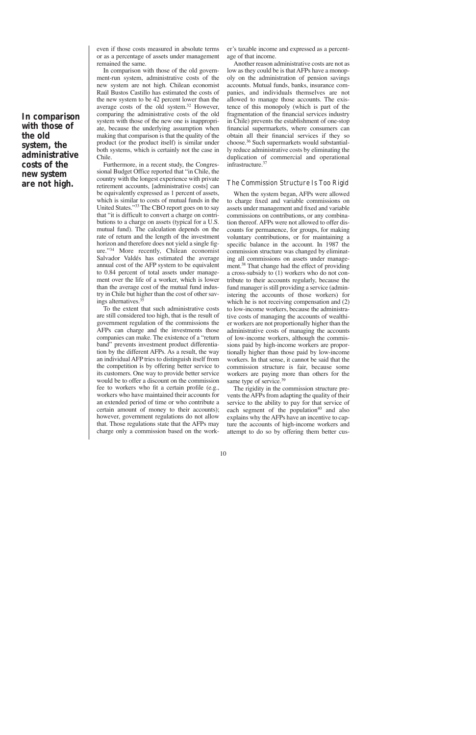**In comparison with those of the old system, the administrative costs of the new system are not high.**

even if those costs measured in absolute terms or as a percentage of assets under management remained the same.

In comparison with those of the old government-run system, administrative costs of the new system are not high. Chilean economist Raúl Bustos Castillo has estimated the costs of the new system to be 42 percent lower than the average costs of the old system.32 However, comparing the administrative costs of the old system with those of the new one is inappropriate, because the underlying assumption when making that comparison is that the quality of the product (or the product itself) is similar under both systems, which is certainly not the case in Chile.

Furthermore, in a recent study, the Congressional Budget Office reported that "in Chile, the country with the longest experience with private retirement accounts, [administrative costs] can be equivalently expressed as 1 percent of assets, which is similar to costs of mutual funds in the United States."33 The CBO report goes on to say that "it is difficult to convert a charge on contributions to a charge on assets (typical for a U.S. mutual fund). The calculation depends on the rate of return and the length of the investment horizon and therefore does not yield a single figure."34 More recently, Chilean economist Salvador Valdés has estimated the average annual cost of the AFP system to be equivalent to 0.84 percent of total assets under management over the life of a worker, which is lower than the average cost of the mutual fund industry in Chile but higher than the cost of other savings alternatives.35

To the extent that such administrative costs are still considered too high, that is the result of government regulation of the commissions the AFPs can charge and the investments those companies can make. The existence of a "return band" prevents investment product differentiation by the different AFPs. As a result, the way an individual AFP tries to distinguish itself from the competition is by offering better service to its customers. One way to provide better service would be to offer a discount on the commission fee to workers who fit a certain profile (e.g., workers who have maintained their accounts for an extended period of time or who contribute a certain amount of money to their accounts); however, government regulations do not allow that. Those regulations state that the AFPs may charge only a commission based on the worker's taxable income and expressed as a percentage of that income.

Another reason administrative costs are not as low as they could be is that AFPs have a monopoly on the administration of pension savings accounts. Mutual funds, banks, insurance companies, and individuals themselves are not allowed to manage those accounts. The existence of this monopoly (which is part of the fragmentation of the financial services industry in Chile) prevents the establishment of one-stop financial supermarkets, where consumers can obtain all their financial services if they so choose.36 Such supermarkets would substantially reduce administrative costs by eliminating the duplication of commercial and operational infrastructure.37

#### The Commission Structure Is Too Rigid

When the system began, AFPs were allowed to charge fixed and variable commissions on assets under management and fixed and variable commissions on contributions, or any combination thereof. AFPs were not allowed to offer discounts for permanence, for groups, for making voluntary contributions, or for maintaining a specific balance in the account. In 1987 the commission structure was changed by eliminating all commissions on assets under management.<sup>38</sup> That change had the effect of providing a cross-subsidy to (1) workers who do not contribute to their accounts regularly, because the fund manager is still providing a service (administering the accounts of those workers) for which he is not receiving compensation and  $(2)$ to low-income workers, because the administrative costs of managing the accounts of wealthier workers are not proportionally higher than the administrative costs of managing the accounts of low-income workers, although the commissions paid by high-income workers are proportionally higher than those paid by low-income workers. In that sense, it cannot be said that the commission structure is fair, because some workers are paying more than others for the same type of service.<sup>39</sup>

The rigidity in the commission structure prevents the AFPs from adapting the quality of their service to the ability to pay for that service of each segment of the population<sup>40</sup> and also explains why the AFPs have an incentive to capture the accounts of high-income workers and attempt to do so by offering them better cus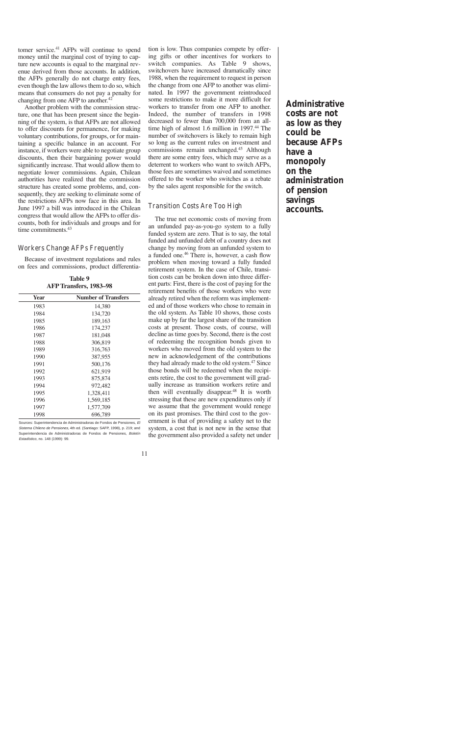tomer service.<sup>41</sup> AFPs will continue to spend money until the marginal cost of trying to capture new accounts is equal to the marginal revenue derived from those accounts. In addition, the AFPs generally do not charge entry fees, even though the law allows them to do so, which means that consumers do not pay a penalty for changing from one AFP to another.<sup>42</sup>

Another problem with the commission structure, one that has been present since the beginning of the system, is that AFPs are not allowed to offer discounts for permanence, for making voluntary contributions, for groups, or for maintaining a specific balance in an account. For instance, if workers were able to negotiate group discounts, then their bargaining power would significantly increase. That would allow them to negotiate lower commissions. Again, Chilean authorities have realized that the commission structure has created some problems, and, consequently, they are seeking to eliminate some of the restrictions AFPs now face in this area. In June 1997 a bill was introduced in the Chilean congress that would allow the AFPs to offer discounts, both for individuals and groups and for time commitments.<sup>43</sup>

### Workers Change AFPs Frequently

Because of investment regulations and rules on fees and commissions, product differentia-

**Table 9 AFP Transfers, 1983–98**

| Year | <b>Number of Transfers</b> |
|------|----------------------------|
| 1983 | 14,380                     |
| 1984 | 134,720                    |
| 1985 | 189,163                    |
| 1986 | 174,237                    |
| 1987 | 181,048                    |
| 1988 | 306,819                    |
| 1989 | 316,763                    |
| 1990 | 387,955                    |
| 1991 | 500,176                    |
| 1992 | 621,919                    |
| 1993 | 875,874                    |
| 1994 | 972,482                    |
| 1995 | 1,328,411                  |
| 1996 | 1,569,185                  |
| 1997 | 1,577,709                  |
| 1998 | 696,789                    |

Sources: Superintendencia de Administradoras de Fondos de Pensiones, El Sistema Chileno de Pensiones, 4th ed. (Santiago: SAFP, 1998), p. 219; and Superintendencia de Administradoras de Fondos de Pensiones, Boletín Estadístico, no. 148 (1999): 99.

tion is low. Thus companies compete by offering gifts or other incentives for workers to switch companies. As Table 9 shows, switchovers have increased dramatically since 1988, when the requirement to request in person the change from one AFP to another was eliminated. In 1997 the government reintroduced some restrictions to make it more difficult for workers to transfer from one AFP to another. Indeed, the number of transfers in 1998 decreased to fewer than 700,000 from an alltime high of almost 1.6 million in 1997.<sup>44</sup> The number of switchovers is likely to remain high so long as the current rules on investment and commissions remain unchanged.45 Although there are some entry fees, which may serve as a deterrent to workers who want to switch AFPs, those fees are sometimes waived and sometimes offered to the worker who switches as a rebate by the sales agent responsible for the switch.

### Transition Costs Are Too High

The true net economic costs of moving from an unfunded pay-as-you-go system to a fully funded system are zero. That is to say, the total funded and unfunded debt of a country does not change by moving from an unfunded system to a funded one.46 There is, however, a cash flow problem when moving toward a fully funded retirement system. In the case of Chile, transition costs can be broken down into three different parts: First, there is the cost of paying for the retirement benefits of those workers who were already retired when the reform was implemented and of those workers who chose to remain in the old system. As Table 10 shows, those costs make up by far the largest share of the transition costs at present. Those costs, of course, will decline as time goes by. Second, there is the cost of redeeming the recognition bonds given to workers who moved from the old system to the new in acknowledgement of the contributions they had already made to the old system.<sup>47</sup> Since those bonds will be redeemed when the recipients retire, the cost to the government will gradually increase as transition workers retire and then will eventually disappear.<sup>48</sup> It is worth stressing that these are new expenditures only if we assume that the government would renege on its past promises. The third cost to the government is that of providing a safety net to the system, a cost that is not new in the sense that the government also provided a safety net under

**Administrative costs are not as low as they could be because AFPs have a monopoly on the administration of pension savings accounts.**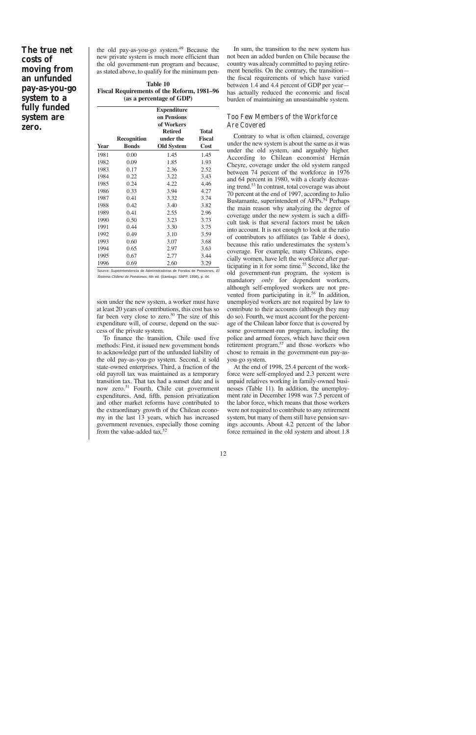# **The true net costs of moving from an unfunded pay-as-you-go system to a fully funded system are zero.**

the old pay-as-you-go system.<sup>49</sup> Because the new private system is much more efficient than the old government-run program and because, as stated above, to qualify for the minimum pen-

| Table 10                                          |  |
|---------------------------------------------------|--|
| <b>Fiscal Requirements of the Reform, 1981–96</b> |  |
| (as a percentage of GDP)                          |  |

|             | <b>Expenditure</b><br>on Pensions |                                           |                        |  |
|-------------|-----------------------------------|-------------------------------------------|------------------------|--|
|             | <b>Recognition</b>                | of Workers<br><b>Retired</b><br>under the | Total<br><b>Fiscal</b> |  |
| <b>Year</b> | <b>Bonds</b>                      | <b>Old System</b>                         | Cost                   |  |
| 1981        | 0.00                              | 1.45                                      | 1.45                   |  |
| 1982        | 0.09                              | 1.85                                      | 1.93                   |  |
| 1983        | 0.17                              | 2.36                                      | 2.52                   |  |
| 1984        | 0.22                              | 3.22                                      | 3.43                   |  |
| 1985        | 0.24                              | 4.22                                      | 4.46                   |  |
| 1986        | 0.33                              | 3.94                                      | 4.27                   |  |
| 1987        | 0.41                              | 3.32                                      | 3.74                   |  |
| 1988        | 0.42                              | 3.40                                      | 3.82                   |  |
| 1989        | 0.41                              | 2.55                                      | 2.96                   |  |
| 1990        | 0.50                              | 3.23                                      | 3.73                   |  |
| 1991        | 0.44                              | 3.30                                      | 3.75                   |  |
| 1992        | 0.49                              | 3.10                                      | 3.59                   |  |
| 1993        | 0.60                              | 3.07                                      | 3.68                   |  |
| 1994        | 0.65                              | 2.97                                      | 3.63                   |  |
| 1995        | 0.67                              | 2.77                                      | 3.44                   |  |
| 1996        | 0.69                              | 2.60                                      | 3.29                   |  |

Source: Superintendencia de Administradoras de Fondos de Pensiones, El Sistema Chileno de Pensiones, 4th ed. (Santiago: SAFP, 1998), p. 44.

sion under the new system, a worker must have at least 20 years of contributions, this cost has so far been very close to zero.<sup>50</sup> The size of this expenditure will, of course, depend on the success of the private system.

To finance the transition, Chile used five methods: First, it issued new government bonds to acknowledge part of the unfunded liability of the old pay-as-you-go system. Second, it sold state-owned enterprises. Third, a fraction of the old payroll tax was maintained as a temporary transition tax. That tax had a sunset date and is now zero.<sup>51</sup> Fourth, Chile cut government expenditures. And, fifth, pension privatization and other market reforms have contributed to the extraordinary growth of the Chilean economy in the last 13 years, which has increased government revenues, especially those coming from the value-added tax.<sup>52</sup>

In sum, the transition to the new system has not been an added burden on Chile because the country was already committed to paying retirement benefits. On the contrary, the transition the fiscal requirements of which have varied between 1.4 and 4.4 percent of GDP per year has actually reduced the economic and fiscal burden of maintaining an unsustainable system.

### Too Few Members of the Workforce Are Covered

Contrary to what is often claimed, coverage under the new system is about the same as it was under the old system, and arguably higher. According to Chilean economist Hernán Cheyre, coverage under the old system ranged between 74 percent of the workforce in 1976 and 64 percent in 1980, with a clearly decreasing trend.53 In contrast, total coverage was about 70 percent at the end of 1997, according to Julio Bustamante, superintendent of AFPs.<sup>54</sup> Perhaps the main reason why analyzing the degree of coverage under the new system is such a difficult task is that several factors must be taken into account. It is not enough to look at the ratio of contributors to affiliates (as Table 4 does), because this ratio underestimates the system's coverage. For example, many Chileans, especially women, have left the workforce after participating in it for some time.<sup>55</sup> Second, like the old government-run program, the system is mandatory *only* for dependent workers, although self-employed workers are not prevented from participating in it.<sup>56</sup> In addition, unemployed workers are not required by law to contribute to their accounts (although they may do so). Fourth, we must account for the percentage of the Chilean labor force that is covered by some government-run program, including the police and armed forces, which have their own retirement program,<sup>57</sup> and those workers who chose to remain in the government-run pay-asyou-go system.

At the end of 1998, 25.4 percent of the workforce were self-employed and 2.3 percent were unpaid relatives working in family-owned businesses (Table 11). In addition, the unemployment rate in December 1998 was 7.5 percent of the labor force, which means that those workers were not required to contribute to any retirement system, but many of them still have pension savings accounts. About 4.2 percent of the labor force remained in the old system and about 1.8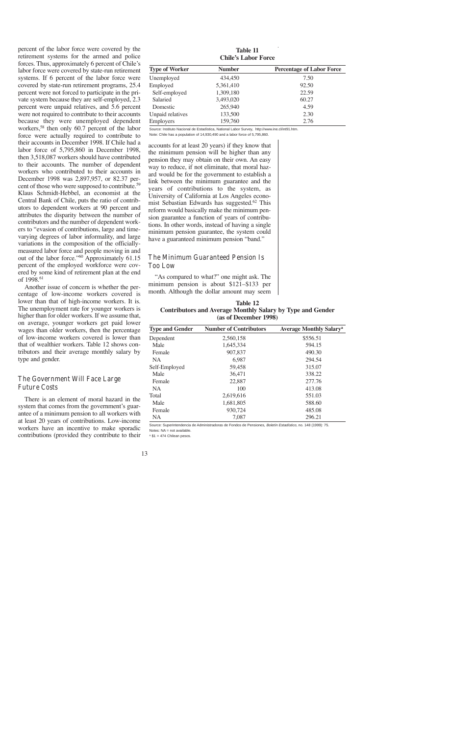percent of the labor force were covered by the retirement systems for the armed and police forces. Thus, approximately 6 percent of Chile's labor force were covered by state-run retirement systems. If 6 percent of the labor force were covered by state-run retirement programs, 25.4 percent were not forced to participate in the private system because they are self-employed, 2.3 percent were unpaid relatives, and 5.6 percent were not required to contribute to their accounts because they were unemployed dependent workers,58 then only 60.7 percent of the labor force were actually required to contribute to their accounts in December 1998. If Chile had a labor force of 5,795,860 in December 1998, then 3,518,087 workers should have contributed to their accounts. The number of dependent workers who contributed to their accounts in December 1998 was 2,897,957, or 82.37 percent of those who were supposed to contribute.<sup>59</sup> Klaus Schmidt-Hebbel, an economist at the Central Bank of Chile, puts the ratio of contributors to dependent workers at 90 percent and attributes the disparity between the number of contributors and the number of dependent workers to "evasion of contributions, large and timevarying degrees of labor informality, and large variations in the composition of the officiallymeasured labor force and people moving in and out of the labor force."60 Approximately 61.15 percent of the employed workforce were covered by some kind of retirement plan at the end of 1998.<sup>61</sup>

Another issue of concern is whether the percentage of low-income workers covered is lower than that of high-income workers. It is. The unemployment rate for younger workers is higher than for older workers. If we assume that, on average, younger workers get paid lower wages than older workers, then the percentage of low-income workers covered is lower than that of wealthier workers. Table 12 shows contributors and their average monthly salary by type and gender.

### The Government Will Face Large Future Costs

There is an element of moral hazard in the system that comes from the government's guarantee of a minimum pension to all workers with at least 20 years of contributions. Low-income workers have an incentive to make sporadic contributions (provided they contribute to their

**Chile's Labor Force Type of Worker Mumber Percentage of Labor Force** Unemployed 434,450 7.50 Employed 5,361,410 92.50 Self-employed 1,309,180 22.59 Salaried 3,493,020 60.27 Domestic 265,940 4.59 Unpaid relatives 133,500 2.30 Employers 159,760 2.76

**Table 11**

Source: Instituto Nacional de Estadística, National Labor Survey, http://www.ine.cl/int91.htm.

Note: Chile has a population of 14,930,490 and a labor force of 5,795,860.

accounts for at least 20 years) if they know that the minimum pension will be higher than any pension they may obtain on their own. An easy way to reduce, if not eliminate, that moral hazard would be for the government to establish a link between the minimum guarantee and the years of contributions to the system, as University of California at Los Angeles economist Sebastian Edwards has suggested.<sup>62</sup> This reform would basically make the minimum pension guarantee a function of years of contributions. In other words, instead of having a single minimum pension guarantee, the system could have a guaranteed minimum pension "band."

# The Minimum Guaranteed Pension Is Too Low

"As compared to what?" one might ask. The minimum pension is about \$121–\$133 per month. Although the dollar amount may seem

**Table 12 Contributors and Average Monthly Salary by Type and Gender (as of December 1998)**

| <b>Type and Gender</b> | <b>Number of Contributors</b> | <b>Average Monthly Salary<sup>a</sup></b> |
|------------------------|-------------------------------|-------------------------------------------|
| Dependent              | 2,560,158                     | \$556.51                                  |
| Male                   | 1,645,334                     | 594.15                                    |
| Female                 | 907,837                       | 490.30                                    |
| <b>NA</b>              | 6,987                         | 294.54                                    |
| Self-Employed          | 59,458                        | 315.07                                    |
| Male                   | 36,471                        | 338.22                                    |
| Female                 | 22,887                        | 277.76                                    |
| <b>NA</b>              | 100                           | 413.08                                    |
| Total                  | 2,619,616                     | 551.03                                    |
| Male                   | 1,681,805                     | 588.60                                    |
| Female                 | 930.724                       | 485.08                                    |
| NA                     | 7.087                         | 296.21                                    |

Source: Superintendencia de Administradoras de Fondos de Pensiones, Boletín Estadístico, no. 148 (1999): 75. Notes: NA = not available.

 $a$  \$1 = 474 Chilean pesos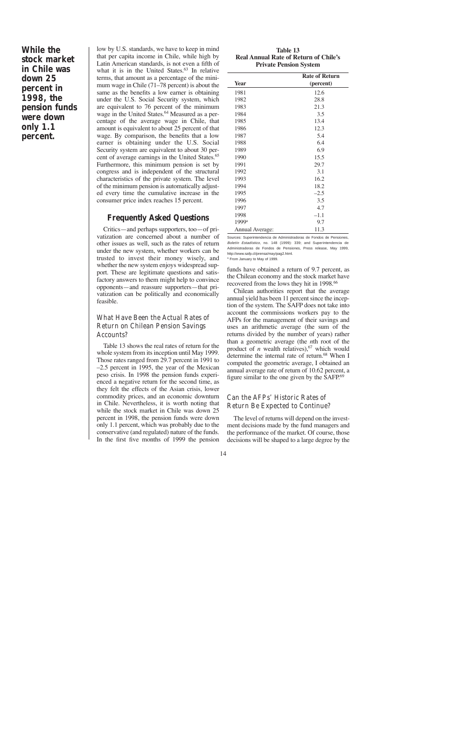**While the stock market in Chile was down 25 percent in 1998, the pension funds were down only 1.1 percent.**

low by U.S. standards, we have to keep in mind that per capita income in Chile, while high by Latin American standards, is not even a fifth of what it is in the United States. $63$  In relative terms, that amount as a percentage of the minimum wage in Chile (71–78 percent) is about the same as the benefits a low earner is obtaining under the U.S. Social Security system, which are equivalent to 76 percent of the minimum wage in the United States.<sup>64</sup> Measured as a percentage of the average wage in Chile, that amount is equivalent to about 25 percent of that wage. By comparison, the benefits that a low earner is obtaining under the U.S. Social Security system are equivalent to about 30 percent of average earnings in the United States.<sup>65</sup> Furthermore, this minimum pension is set by congress and is independent of the structural characteristics of the private system. The level of the minimum pension is automatically adjusted every time the cumulative increase in the consumer price index reaches 15 percent.

# **Frequently Asked Questions**

Critics—and perhaps supporters, too—of privatization are concerned about a number of other issues as well, such as the rates of return under the new system, whether workers can be trusted to invest their money wisely, and whether the new system enjoys widespread support. These are legitimate questions and satisfactory answers to them might help to convince opponents—and reassure supporters—that privatization can be politically and economically feasible.

# What Have Been the Actual Rates of Return on Chilean Pension Savings Accounts?

Table 13 shows the real rates of return for the whole system from its inception until May 1999. Those rates ranged from 29.7 percent in 1991 to –2.5 percent in 1995, the year of the Mexican peso crisis. In 1998 the pension funds experienced a negative return for the second time, as they felt the effects of the Asian crisis, lower commodity prices, and an economic downturn in Chile. Nevertheless, it is worth noting that while the stock market in Chile was down 25 percent in 1998, the pension funds were down only 1.1 percent, which was probably due to the conservative (and regulated) nature of the funds. In the first five months of 1999 the pension

**Table 13 Real Annual Rate of Return of Chile's Private Pension System**

|                   | <b>Rate of Return</b> |  |  |  |  |
|-------------------|-----------------------|--|--|--|--|
| <b>Year</b>       | (percent)             |  |  |  |  |
| 1981              | 12.6                  |  |  |  |  |
| 1982              | 28.8                  |  |  |  |  |
| 1983              | 21.3                  |  |  |  |  |
| 1984              | 3.5                   |  |  |  |  |
| 1985              | 13.4                  |  |  |  |  |
| 1986              | 12.3                  |  |  |  |  |
| 1987              | 5.4                   |  |  |  |  |
| 1988              | 6.4                   |  |  |  |  |
| 1989              | 6.9                   |  |  |  |  |
| 1990              | 15.5                  |  |  |  |  |
| 1991              | 29.7                  |  |  |  |  |
| 1992              | 3.1                   |  |  |  |  |
| 1993              | 16.2                  |  |  |  |  |
| 1994              | 18.2                  |  |  |  |  |
| 1995              | $-2.5$                |  |  |  |  |
| 1996              | 3.5                   |  |  |  |  |
| 1997              | 4.7                   |  |  |  |  |
| 1998              | $-1.1$                |  |  |  |  |
| 1999 <sup>a</sup> | 9.7                   |  |  |  |  |
| Annual Average:   | 11.3                  |  |  |  |  |

Sources: Superintendencia de Administradoras de Fondos de Pensiones, Boletín Estadístico, no. 148 (1999): 339; and Superintendencia de Administradoras de Fondos de Pensiones, Press release, May 1999, http://www.safp.cl/prensa/may/pag2.html. <sup>a</sup> From January to May of 1999.

funds have obtained a return of 9.7 percent, as the Chilean economy and the stock market have

recovered from the lows they hit in 1998.<sup>66</sup> Chilean authorities report that the average annual yield has been 11 percent since the inception of the system. The SAFP does not take into account the commissions workers pay to the AFPs for the management of their savings and uses an arithmetic average (the sum of the returns divided by the number of years) rather than a geometric average (the *n*th root of the product of  $n$  wealth relatives),  $67$  which would determine the internal rate of return.<sup>68</sup> When I computed the geometric average, I obtained an annual average rate of return of 10.62 percent, a figure similar to the one given by the SAFP.69

### Can the AFPs' Historic Rates of Return Be Expected to Continue?

The level of returns will depend on the investment decisions made by the fund managers and the performance of the market. Of course, those decisions will be shaped to a large degree by the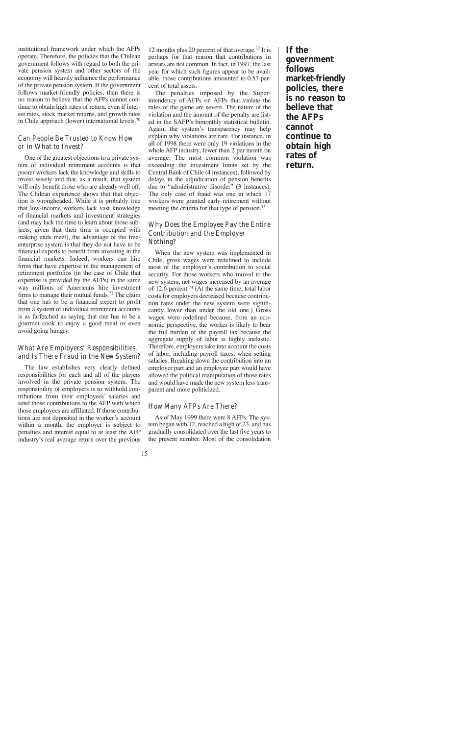institutional framework under which the AFPs operate. Therefore, the policies that the Chilean government follows with regard to both the private pension system and other sectors of the economy will heavily influence the performance of the private pension system. If the government follows market-friendly policies, then there is no reason to believe that the AFPs cannot continue to obtain high rates of return, even if interest rates, stock market returns, and growth rates in Chile approach (lower) international levels.<sup>70</sup>

### Can People Be Trusted to Know How or in What to Invest?

One of the greatest objections to a private system of individual retirement accounts is that poorer workers lack the knowledge and skills to invest wisely and that, as a result, that system will only benefit those who are already well off. The Chilean experience shows that that objection is wrongheaded. While it is probably true that low-income workers lack vast knowledge of financial markets and investment strategies (and may lack the time to learn about those subjects, given that their time is occupied with making ends meet), the advantage of the freeenterprise system is that they do not have to be financial experts to benefit from investing in the financial markets. Indeed, workers can hire firms that have expertise in the management of retirement portfolios (in the case of Chile that expertise is provided by the AFPs) in the same way millions of Americans hire investment firms to manage their mutual funds.<sup>71</sup> The claim that one has to be a financial expert to profit from a system of individual retirement accounts is as farfetched as saying that one has to be a gourmet cook to enjoy a good meal or even avoid going hungry.

# What Are Employers' Responsibilities, and Is There Fraud in the New System?

The law establishes very clearly defined responsibilities for each and all of the players involved in the private pension system. The responsibility of employers is to withhold contributions from their employees' salaries and send those contributions to the AFP with which those employees are affiliated. If those contributions are not deposited in the worker's account within a month, the employer is subject to penalties and interest equal to at least the AFP industry's real average return over the previous

12 months plus 20 percent of that average.<sup>72</sup> It is perhaps for that reason that contributions in arrears are not common. In fact, in 1997, the last year for which such figures appear to be available, those contributions amounted to 0.53 percent of total assets.

The penalties imposed by the Superintendency of AFPs on AFPs that violate the rules of the game are severe. The nature of the violation and the amount of the penalty are listed in the SAFP's bimonthly statistical bulletin. Again, the system's transparency may help explain why violations are rare. For instance, in all of 1998 there were only 19 violations in the whole AFP industry, fewer than 2 per month on average. The most common violation was exceeding the investment limits set by the Central Bank of Chile (4 instances), followed by delays in the adjudication of pension benefits due to "administrative disorder" (3 instances). The only case of fraud was one in which 17 workers were granted early retirement without meeting the criteria for that type of pension.<sup>73</sup>

# Why Does the Employee Pay the Entire Contribution and the Employer Nothing?

When the new system was implemented in Chile, gross wages were redefined to include most of the employer's contribution to social security. For those workers who moved to the new system, net wages increased by an average of 12.6 percent.74 (At the same time, total labor costs for employers decreased because contribution rates under the new system were significantly lower than under the old one.) Gross wages were redefined because, from an economic perspective, the worker is likely to bear the full burden of the payroll tax because the aggregate supply of labor is highly inelastic. Therefore, employers take into account the costs of labor, including payroll taxes, when setting salaries. Breaking down the contribution into an employer part and an employee part would have allowed the political manipulation of those rates and would have made the new system less transparent and more politicized.

### How Many AFPs Are There?

As of May 1999 there were 8 AFPs. The system began with 12, reached a high of 23, and has gradually consolidated over the last five years to the present number. Most of the consolidation **If the government follows market-friendly policies, there is no reason to believe that the AFPs cannot continue to obtain high rates of return.**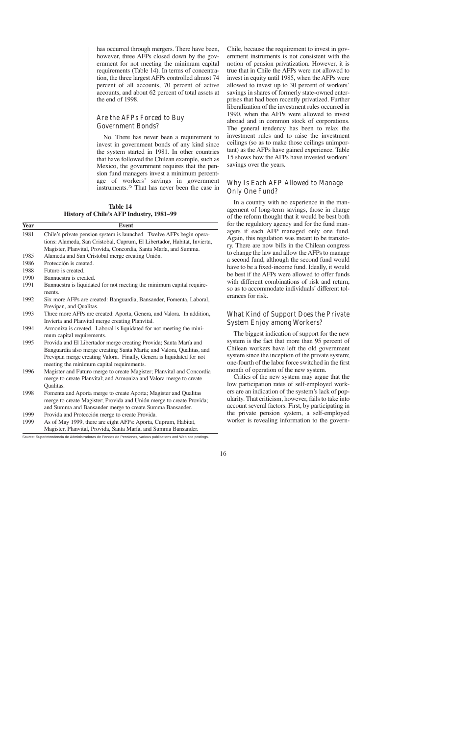has occurred through mergers. There have been, however, three AFPs closed down by the government for not meeting the minimum capital requirements (Table 14). In terms of concentration, the three largest AFPs controlled almost 74 percent of all accounts, 70 percent of active accounts, and about 62 percent of total assets at the end of 1998.

### Are the AFPs Forced to Buy Government Bonds?

No. There has never been a requirement to invest in government bonds of any kind since the system started in 1981. In other countries that have followed the Chilean example, such as Mexico, the government requires that the pension fund managers invest a minimum percentage of workers' savings in government instruments.75 That has never been the case in

**Table 14 History of Chile's AFP Industry, 1981–99**

| Year | <b>Event</b>                                                                                                                                     |
|------|--------------------------------------------------------------------------------------------------------------------------------------------------|
| 1981 | Chile's private pension system is launched. Twelve AFPs begin opera-<br>tions: Alameda, San Cristobal, Cuprum, El Libertador, Habitat, Invierta, |
|      | Magister, Planvital, Provida, Concordia, Santa María, and Summa.                                                                                 |
| 1985 | Alameda and San Cristobal merge creating Unión.                                                                                                  |
| 1986 | Protección is created.                                                                                                                           |
| 1988 | Futuro is created.                                                                                                                               |
| 1990 | Bannuestra is created.                                                                                                                           |
| 1991 | Bannuestra is liquidated for not meeting the minimum capital require-                                                                            |
|      | ments.                                                                                                                                           |
| 1992 | Six more AFPs are created: Banguardia, Bansander, Fomenta, Laboral,                                                                              |
|      | Previpan, and Qualitas.                                                                                                                          |
| 1993 | Three more AFPs are created: Aporta, Genera, and Valora. In addition,                                                                            |
|      | Invierta and Planvital merge creating Planvital.                                                                                                 |
| 1994 | Armoniza is created. Laboral is liquidated for not meeting the mini-                                                                             |
|      | mum capital requirements.                                                                                                                        |
| 1995 | Provida and El Libertador merge creating Provida; Santa María and                                                                                |
|      | Banguardia also merge creating Santa María; and Valora, Qualitas, and                                                                            |
|      | Previpan merge creating Valora. Finally, Genera is liquidated for not                                                                            |
|      | meeting the minimum capital requirements.                                                                                                        |
| 1996 | Magister and Futuro merge to create Magister; Planvital and Concordia                                                                            |
|      | merge to create Planvital; and Armoniza and Valora merge to create                                                                               |
|      | Qualitas.                                                                                                                                        |
| 1998 | Fomenta and Aporta merge to create Aporta; Magister and Qualitas                                                                                 |
|      | merge to create Magister; Provida and Unión merge to create Provida;                                                                             |
|      | and Summa and Bansander merge to create Summa Bansander.                                                                                         |
| 1999 | Provida and Protección merge to create Provida.                                                                                                  |
| 1999 | As of May 1999, there are eight AFPs: Aporta, Cuprum, Habitat,                                                                                   |
|      | Magister, Planvital, Provida, Santa María, and Summa Bansander.                                                                                  |

Chile, because the requirement to invest in government instruments is not consistent with the notion of pension privatization. However, it is true that in Chile the AFPs were not allowed to invest in equity until 1985, when the AFPs were allowed to invest up to 30 percent of workers' savings in shares of formerly state-owned enterprises that had been recently privatized. Further liberalization of the investment rules occurred in 1990, when the AFPs were allowed to invest abroad and in common stock of corporations. The general tendency has been to relax the investment rules and to raise the investment ceilings (so as to make those ceilings unimportant) as the AFPs have gained experience. Table 15 shows how the AFPs have invested workers' savings over the years.

# Why Is Each AFP Allowed to Manage Only One Fund?

In a country with no experience in the management of long-term savings, those in charge of the reform thought that it would be best both for the regulatory agency and for the fund managers if each AFP managed only one fund. Again, this regulation was meant to be transitory. There are now bills in the Chilean congress to change the law and allow the AFPs to manage a second fund, although the second fund would have to be a fixed-income fund. Ideally, it would be best if the AFPs were allowed to offer funds with different combinations of risk and return, so as to accommodate individuals' different tolerances for risk.

# What Kind of Support Does the Private System Enjoy among Workers?

The biggest indication of support for the new system is the fact that more than 95 percent of Chilean workers have left the old government system since the inception of the private system; one-fourth of the labor force switched in the first month of operation of the new system.

Critics of the new system may argue that the low participation rates of self-employed workers are an indication of the system's lack of popularity. That criticism, however, fails to take into account several factors. First, by participating in the private pension system, a self-employed worker is revealing information to the govern-

Source: Superintendencia de Administradoras de Fondos de Pensiones, various publications and Web site postings.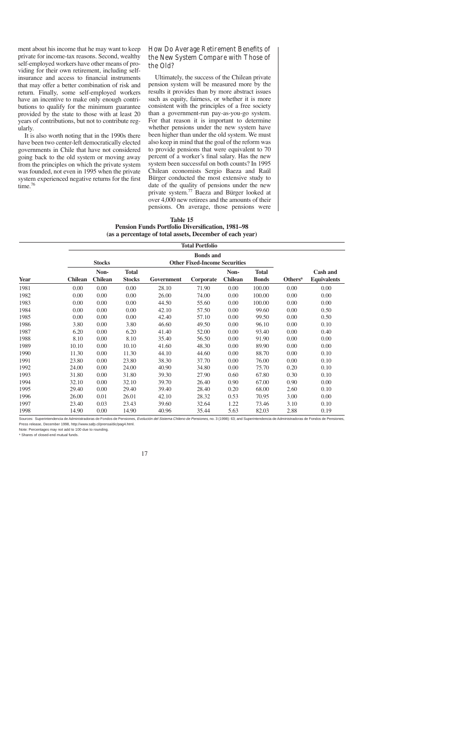ment about his income that he may want to keep private for income-tax reasons. Second, wealthy self-employed workers have other means of providing for their own retirement, including selfinsurance and access to financial instruments that may offer a better combination of risk and return. Finally, some self-employed workers have an incentive to make only enough contributions to qualify for the minimum guarantee provided by the state to those with at least 20 years of contributions, but not to contribute regularly.

It is also worth noting that in the 1990s there have been two center-left democratically elected governments in Chile that have not considered going back to the old system or moving away from the principles on which the private system was founded, not even in 1995 when the private system experienced negative returns for the first time.<sup>76</sup>

# How Do Average Retirement Benefits of the New System Compare with Those of the Old?

Ultimately, the success of the Chilean private pension system will be measured more by the results it provides than by more abstract issues such as equity, fairness, or whether it is more consistent with the principles of a free society than a government-run pay-as-you-go system. For that reason it is important to determine whether pensions under the new system have been higher than under the old system. We must also keep in mind that the goal of the reform was to provide pensions that were equivalent to 70 percent of a worker's final salary. Has the new system been successful on both counts? In 1995 Chilean economists Sergio Baeza and Raúl Bürger conducted the most extensive study to date of the quality of pensions under the new private system.77 Baeza and Bürger looked at over 4,000 new retirees and the amounts of their pensions. On average, those pensions were

| Table 15                                                 |  |  |  |  |  |
|----------------------------------------------------------|--|--|--|--|--|
| <b>Pension Funds Portfolio Diversification, 1981–98</b>  |  |  |  |  |  |
| (as a percentage of total assets, December of each year) |  |  |  |  |  |

|             | <b>Total Portfolio</b> |                        |                               |                                                          |           |                        |                              |                     |                                       |
|-------------|------------------------|------------------------|-------------------------------|----------------------------------------------------------|-----------|------------------------|------------------------------|---------------------|---------------------------------------|
|             |                        | <b>Stocks</b>          |                               | <b>Bonds and</b><br><b>Other Fixed-Income Securities</b> |           |                        |                              |                     |                                       |
| <b>Year</b> | <b>Chilean</b>         | Non-<br><b>Chilean</b> | <b>Total</b><br><b>Stocks</b> | Government                                               | Corporate | Non-<br><b>Chilean</b> | <b>Total</b><br><b>Bonds</b> | Others <sup>a</sup> | <b>Cash and</b><br><b>Equivalents</b> |
| 1981        | 0.00                   | 0.00                   | 0.00                          | 28.10                                                    | 71.90     | 0.00                   | 100.00                       | 0.00                | 0.00                                  |
| 1982        | 0.00                   | 0.00                   | 0.00                          | 26.00                                                    | 74.00     | 0.00                   | 100.00                       | 0.00                | 0.00                                  |
| 1983        | 0.00                   | 0.00                   | 0.00                          | 44.50                                                    | 55.60     | 0.00                   | 100.00                       | 0.00                | 0.00                                  |
| 1984        | 0.00                   | 0.00                   | 0.00                          | 42.10                                                    | 57.50     | 0.00                   | 99.60                        | 0.00                | 0.50                                  |
| 1985        | 0.00                   | 0.00                   | 0.00                          | 42.40                                                    | 57.10     | 0.00                   | 99.50                        | 0.00                | 0.50                                  |
| 1986        | 3.80                   | 0.00                   | 3.80                          | 46.60                                                    | 49.50     | 0.00                   | 96.10                        | 0.00                | 0.10                                  |
| 1987        | 6.20                   | 0.00                   | 6.20                          | 41.40                                                    | 52.00     | 0.00                   | 93.40                        | 0.00                | 0.40                                  |
| 1988        | 8.10                   | 0.00                   | 8.10                          | 35.40                                                    | 56.50     | 0.00                   | 91.90                        | 0.00                | 0.00                                  |
| 1989        | 10.10                  | 0.00                   | 10.10                         | 41.60                                                    | 48.30     | 0.00                   | 89.90                        | 0.00                | 0.00                                  |
| 1990        | 11.30                  | 0.00                   | 11.30                         | 44.10                                                    | 44.60     | 0.00                   | 88.70                        | 0.00                | 0.10                                  |
| 1991        | 23.80                  | 0.00                   | 23.80                         | 38.30                                                    | 37.70     | 0.00                   | 76.00                        | 0.00                | 0.10                                  |
| 1992        | 24.00                  | 0.00                   | 24.00                         | 40.90                                                    | 34.80     | 0.00                   | 75.70                        | 0.20                | 0.10                                  |
| 1993        | 31.80                  | 0.00                   | 31.80                         | 39.30                                                    | 27.90     | 0.60                   | 67.80                        | 0.30                | 0.10                                  |
| 1994        | 32.10                  | 0.00                   | 32.10                         | 39.70                                                    | 26.40     | 0.90                   | 67.00                        | 0.90                | 0.00                                  |
| 1995        | 29.40                  | 0.00                   | 29.40                         | 39.40                                                    | 28.40     | 0.20                   | 68.00                        | 2.60                | 0.10                                  |
| 1996        | 26.00                  | 0.01                   | 26.01                         | 42.10                                                    | 28.32     | 0.53                   | 70.95                        | 3.00                | 0.00                                  |
| 1997        | 23.40                  | 0.03                   | 23.43                         | 39.60                                                    | 32.64     | 1.22                   | 73.46                        | 3.10                | 0.10                                  |
| 1998        | 14.90                  | 0.00                   | 14.90                         | 40.96                                                    | 35.44     | 5.63                   | 82.03                        | 2.88                | 0.19                                  |

Sources: Superintendencia de Administradoras de Fondos de Pensiones, Evolución del Sistema Chileno de Pensiones, no. 3 (1998): 63; and Superintendencia de Administradoras de Fondos de Pensiones, Press release, December 1998, http://www.safp.cl/prensa/dic/pag4.html.

Note: Percentages may not add to 100 due to rounding.

<sup>a</sup> Shares of closed-end mutual funds.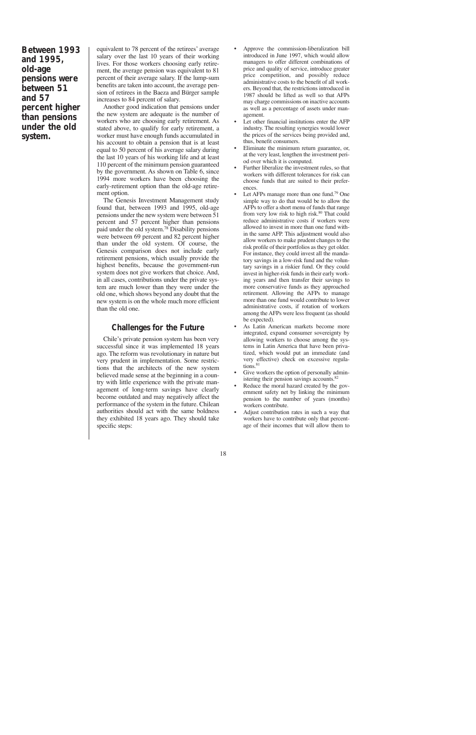**Between 1993 and 1995, old-age pensions were between 51 and 57 percent higher than pensions under the old system.**

equivalent to 78 percent of the retirees' average salary over the last 10 years of their working lives. For those workers choosing early retirement, the average pension was equivalent to 81 percent of their average salary. If the lump-sum benefits are taken into account, the average pension of retirees in the Baeza and Bürger sample increases to 84 percent of salary.

Another good indication that pensions under the new system are adequate is the number of workers who are choosing early retirement. As stated above, to qualify for early retirement, a worker must have enough funds accumulated in his account to obtain a pension that is at least equal to 50 percent of his average salary during the last 10 years of his working life and at least 110 percent of the minimum pension guaranteed by the government. As shown on Table 6, since 1994 more workers have been choosing the early-retirement option than the old-age retirement option.

The Genesis Investment Management study found that, between 1993 and 1995, old-age pensions under the new system were between 51 percent and 57 percent higher than pensions paid under the old system.78 Disability pensions were between 69 percent and 82 percent higher than under the old system. Of course, the Genesis comparison does not include early retirement pensions, which usually provide the highest benefits, because the government-run system does not give workers that choice. And, in all cases, contributions under the private system are much lower than they were under the old one, which shows beyond any doubt that the new system is on the whole much more efficient than the old one.

# **Challenges for the Future**

Chile's private pension system has been very successful since it was implemented 18 years ago. The reform was revolutionary in nature but very prudent in implementation. Some restrictions that the architects of the new system believed made sense at the beginning in a country with little experience with the private management of long-term savings have clearly become outdated and may negatively affect the performance of the system in the future. Chilean authorities should act with the same boldness they exhibited 18 years ago. They should take specific steps:

- Approve the commission-liberalization bill introduced in June 1997, which would allow managers to offer different combinations of price and quality of service, introduce greater price competition, and possibly reduce administrative costs to the benefit of all workers. Beyond that, the restrictions introduced in 1987 should be lifted as well so that AFPs may charge commissions on inactive accounts as well as a percentage of assets under management.
- Let other financial institutions enter the AFP industry. The resulting synergies would lower the prices of the services being provided and, thus, benefit consumers.
- Eliminate the minimum return guarantee, or, at the very least, lengthen the investment period over which it is computed.
- Further liberalize the investment rules, so that workers with different tolerances for risk can choose funds that are suited to their preferences.
- Let AFPs manage more than one fund.<sup>79</sup> One simple way to do that would be to allow the AFPs to offer a short menu of funds that range from very low risk to high risk.<sup>80</sup> That could reduce administrative costs if workers were allowed to invest in more than one fund within the same AFP. This adjustment would also allow workers to make prudent changes to the risk profile of their portfolios as they get older. For instance, they could invest all the mandatory savings in a low-risk fund and the voluntary savings in a riskier fund. Or they could invest in higher-risk funds in their early working years and then transfer their savings to more conservative funds as they approached retirement. Allowing the AFPs to manage more than one fund would contribute to lower administrative costs, if rotation of workers among the AFPs were less frequent (as should be expected).
- As Latin American markets become more integrated, expand consumer sovereignty by allowing workers to choose among the systems in Latin America that have been privatized, which would put an immediate (and very effective) check on excessive regulations. $81$
- Give workers the option of personally administering their pension savings accounts.<sup>82</sup>
- Reduce the moral hazard created by the government safety net by linking the minimum pension to the number of years (months) workers contribute.
- Adjust contribution rates in such a way that workers have to contribute only that percentage of their incomes that will allow them to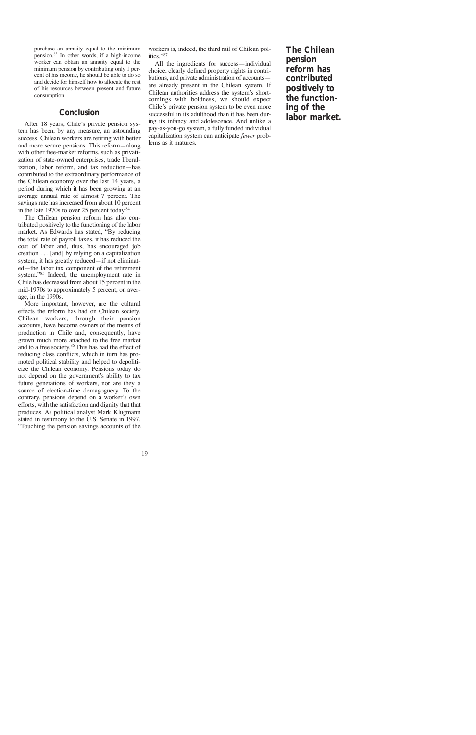purchase an annuity equal to the minimum pension.83 In other words, if a high-income worker can obtain an annuity equal to the minimum pension by contributing only 1 percent of his income, he should be able to do so and decide for himself how to allocate the rest of his resources between present and future consumption.

# **Conclusion**

After 18 years, Chile's private pension system has been, by any measure, an astounding success. Chilean workers are retiring with better and more secure pensions. This reform—along with other free-market reforms, such as privatization of state-owned enterprises, trade liberalization, labor reform, and tax reduction—has contributed to the extraordinary performance of the Chilean economy over the last 14 years, a period during which it has been growing at an average annual rate of almost 7 percent. The savings rate has increased from about 10 percent in the late 1970s to over 25 percent today.84

The Chilean pension reform has also contributed positively to the functioning of the labor market. As Edwards has stated, "By reducing the total rate of payroll taxes, it has reduced the cost of labor and, thus, has encouraged job creation . . . [and] by relying on a capitalization system, it has greatly reduced—if not eliminated—the labor tax component of the retirement system."85 Indeed, the unemployment rate in Chile has decreased from about 15 percent in the mid-1970s to approximately 5 percent, on average, in the 1990s.

More important, however, are the cultural effects the reform has had on Chilean society. Chilean workers, through their pension accounts, have become owners of the means of production in Chile and, consequently, have grown much more attached to the free market and to a free society.86 This has had the effect of reducing class conflicts, which in turn has promoted political stability and helped to depoliticize the Chilean economy. Pensions today do not depend on the government's ability to tax future generations of workers, nor are they a source of election-time demagoguery. To the contrary, pensions depend on a worker's own efforts, with the satisfaction and dignity that that produces. As political analyst Mark Klugmann stated in testimony to the U.S. Senate in 1997, "Touching the pension savings accounts of the

workers is, indeed, the third rail of Chilean politics."87

All the ingredients for success—individual choice, clearly defined property rights in contributions, and private administration of accounts are already present in the Chilean system. If Chilean authorities address the system's shortcomings with boldness, we should expect Chile's private pension system to be even more successful in its adulthood than it has been during its infancy and adolescence. And unlike a pay-as-you-go system, a fully funded individual capitalization system can anticipate *fewer* problems as it matures.

**The Chilean pension reform has contributed positively to the functioning of the labor market.**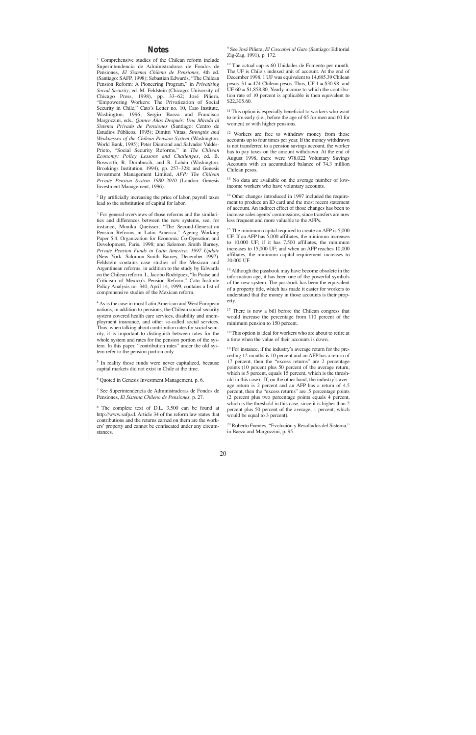### **Notes**

<sup>1</sup> Comprehensive studies of the Chilean reform include Superintendencia de Administradoras de Fondos de Pensiones, *El Sistema Chileno de Pensiones,* 4th ed. (Santiago: SAFP, 1998); Sebastian Edwards, "The Chilean Pension Reform: A Pioneering Program," in *Privatizing Social Security*, ed. M. Feldstein (Chicago: University of Chicago Press, 1998), pp. 33–62; José Piñera, "Empowering Workers: The Privatization of Social Security in Chile," Cato's Letter no. 10, Cato Institute, Washington, 1996; Sergio Baeza and Francisco Margozzini, eds., *Quince Años Después: Una Mirada al Sistema Privado de Pensiones* (Santiago: Centro de Estudios Públicos, 1995); Dimitri Vittas, *Strengths and Weaknesses of the Chilean Pension System* (Washington: World Bank, 1995); Peter Diamond and Salvador Valdés-Prieto, "Social Security Reforms," in *The Chilean Economy: Policy Lessons and Challenges*, ed. B. Bosworth, R. Dornbusch, and R. Labán (Washington: Brookings Institution, 1994), pp. 257–328; and Genesis Investment Management Limited, *AFP: The Chilean Private Pension System 1980–2010* (London: Genesis Investment Management, 1996).

<sup>2</sup> By artificially increasing the price of labor, payroll taxes lead to the substitution of capital for labor.

<sup>3</sup> For general overviews of those reforms and the similarities and differences between the new systems, see, for instance, Monika Queisser, "The Second-Generation Pension Reforms in Latin America," Ageing Working Paper 5.4, Organization for Economic Co-Operation and Development, Paris, 1998; and Salomon Smith Barney, *Private Pension Funds in Latin America: 1997 Update* (New York: Salomon Smith Barney, December 1997). Feldstein contains case studies of the Mexican and Argentinean reforms, in addition to the study by Edwards on the Chilean reform. L. Jacobo Rodríguez, "In Praise and Criticism of Mexico's Pension Reform," Cato Institute Policy Analysis no. 340, April 14, 1999, contains a list of comprehensive studies of the Mexican reform.

<sup>4</sup> As is the case in most Latin American and West European nations, in addition to pensions, the Chilean social security system covered health care services, disability and unemployment insurance, and other so-called social services. Thus, when talking about contribution rates for social security, it is important to distinguish between rates for the whole system and rates for the pension portion of the system. In this paper, "contribution rates" under the old system refer to the pension portion only.

<sup>5</sup> In reality those funds were never capitalized, because capital markets did not exist in Chile at the time.

<sup>6</sup> Quoted in Genesis Investment Management, p. 6.

<sup>7</sup> See Superintendencia de Administradoras de Fondos de Pensiones, *El Sistema Chileno de Pensiones,* p. 27.

<sup>8</sup> The complete text of D.L. 3,500 can be found at http://www.safp.cl. Article 34 of the reform law states that contributions and the returns earned on them are the workers' property and cannot be confiscated under any circumstances.

<sup>9</sup> See José Piñera, *El Cascabel al Gato* (Santiago: Editorial Zig-Zag, 1991), p. 172.

<sup>10</sup> The actual cap is 60 Unidades de Fomento per month. The UF is Chile's indexed unit of account. At the end of December 1998, 1 UF was equivalent to 14,685.39 Chilean pesos.  $$1 = 474$  Chilean pesos. Thus, UF  $1 = $30.98$ , and UF  $60 = $1,858.80$ . Yearly income to which the contribution rate of 10 percent is applicable is then equivalent to \$22,305.60.

<sup>11</sup> This option is especially beneficial to workers who want to retire early (i.e., before the age of 65 for men and 60 for women) or with higher pensions.

<sup>12</sup> Workers are free to withdraw money from those accounts up to four times per year. If the money withdrawn is not transferred to a pension savings account, the worker has to pay taxes on the amount withdrawn. At the end of August 1998, there were 978,022 Voluntary Savings Accounts with an accumulated balance of 74.3 million Chilean pesos.

<sup>13</sup> No data are available on the average number of lowincome workers who have voluntary accounts.

<sup>14</sup> Other changes introduced in 1997 included the requirement to produce an ID card and the most recent statement of account. An indirect effect of those changes has been to increase sales agents'commissions, since transfers are now less frequent and more valuable to the AFPs.

<sup>15</sup> The minimum capital required to create an AFP is 5,000 UF. If an AFP has 5,000 affiliates, the minimum increases to 10,000 UF; if it has 7,500 affiliates, the minimum increases to 15,000 UF; and when an AFP reaches 10,000 affiliates, the minimum capital requirement increases to 20,000 UF.

<sup>16</sup> Although the passbook may have become obsolete in the information age, it has been one of the powerful symbols of the new system. The passbook has been the equivalent of a property title, which has made it easier for workers to understand that the money in those accounts is their property.

<sup>17</sup> There is now a bill before the Chilean congress that would increase the percentage from 110 percent of the minimum pension to 150 percent.

<sup>18</sup> This option is ideal for workers who are about to retire at a time when the value of their accounts is down.

<sup>19</sup> For instance, if the industry's average return for the preceding 12 months is 10 percent and an AFP has a return of 17 percent, then the "excess returns" are 2 percentage points (10 percent plus 50 percent of the average return, which is 5 percent, equals 15 percent, which is the threshold in this case). If, on the other hand, the industry's average return is 2 percent and an AFP has a return of 4.5 percent, then the "excess returns" are .5 percentage points (2 percent plus two percentage points equals 4 percent, which is the threshold in this case, since it is higher than 2 percent plus 50 percent of the average, 1 percent, which would be equal to 3 percent).

<sup>20</sup> Roberto Fuentes, "Evolución y Resultados del Sistema," in Baeza and Margozzini, p. 95.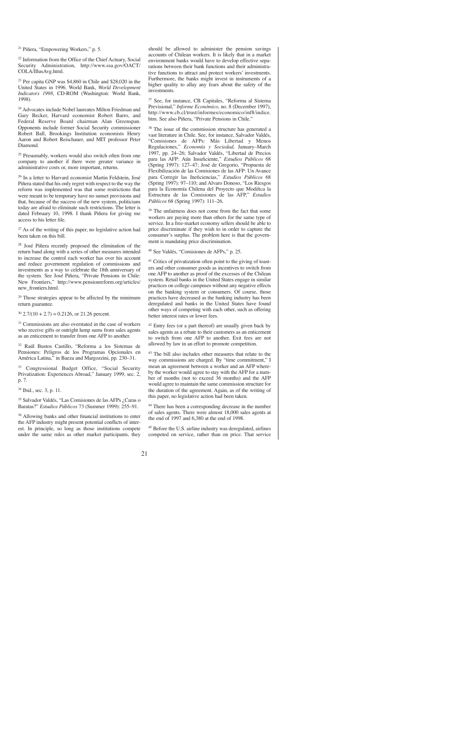<sup>21</sup> Piñera, "Empowering Workers," p. 5.

<sup>22</sup> Information from the Office of the Chief Actuary, Social Security Administration, http://www.ssa.gov/OACT/ COLA/IllusAvg.html.

<sup>23</sup> Per capita GNP was \$4,860 in Chile and \$28,020 in the United States in 1996. World Bank, *World Development Indicators 1998*, CD-ROM (Washington: World Bank, 1998).

<sup>24</sup> Advocates include Nobel laureates Milton Friedman and Gary Becker, Harvard economist Robert Barro, and Federal Reserve Board chairman Alan Greenspan. Opponents include former Social Security commissioner Robert Ball, Brookings Institution economists Henry Aaron and Robert Reischauer, and MIT professor Peter Diamond.

<sup>25</sup> Presumably, workers would also switch often from one company to another if there were greater variance in administrative costs or, more important, returns.

<sup>26</sup> In a letter to Harvard economist Martin Feldstein, José Piñera stated that his only regret with respect to the way the reform was implemented was that some restrictions that were meant to be temporary have no sunset provisions and that, because of the success of the new system, politicians today are afraid to eliminate such restrictions. The letter is dated February 10, 1998. I thank Piñera for giving me access to his letter file.

 $27$  As of the writing of this paper, no legislative action had been taken on this bill.

<sup>28</sup> José Piñera recently proposed the elimination of the return band along with a series of other measures intended to increase the control each worker has over his account and reduce government regulation of commissions and investments as a way to celebrate the 18th anniversary of the system. See José Piñera, "Private Pensions in Chile: New Frontiers," http://www.pensionreform.org/articles/ new\_frontiers.html.

 $29$  Those strategies appear to be affected by the minimum return guarantee.

 $30\ 2.7/(10 + 2.7) = 0.2126$ , or 21.26 percent.

<sup>31</sup> Commissions are also overstated in the case of workers who receive gifts or outright lump sums from sales agents as an enticement to transfer from one AFP to another.

<sup>32</sup> Raúl Bustos Castillo, "Reforma a los Sistemas de Pensiones: Peligros de los Programas Opcionales en América Latina," in Baeza and Margozzini, pp. 230–31.

<sup>33</sup> Congressional Budget Office, "Social Security Privatization: Experiences Abroad," January 1999, sec. 2, p. 7.

<sup>34</sup> Ibid., sec. 3, p. 11.

<sup>35</sup> Salvador Valdés, "Las Comisiones de las AFPs ¿Caras o Baratas?" *Estudios Públicos* 73 (Summer 1999): 255–91.

<sup>36</sup> Allowing banks and other financial institutions to enter the AFP industry might present potential conflicts of interest. In principle, so long as those institutions compete under the same rules as other market participants, they should be allowed to administer the pension savings accounts of Chilean workers. It is likely that in a market environment banks would have to develop effective separations between their bank functions and their administrative functions to attract and protect workers' investments. Furthermore, the banks might invest in instruments of a higher quality to allay any fears about the safety of the investments.

<sup>37</sup> See, for instance, CB Capitales, "Reforma al Sistema Previsional," *Informe Económico,* no. 8 (December 1997), http://www.cb.cl/trust/informes/economico/inf8/indice. htm. See also Piñera, "Private Pensions in Chile."

<sup>38</sup> The issue of the commission structure has generated a vast literature in Chile. See, for instance, Salvador Valdés, "Comisiones de AFPs: Más Libertad y Menos Regulaciones," *Economía y Sociedad,* January–March 1997, pp. 24–26; Salvador Valdés, "Libertad de Precios para las AFP: Aún Insuficiente," *Estudios Públicos* 68 (Spring 1997): 127–47; José de Gregorio, "Propuesta de Flexibilización de las Comisiones de las AFP: Un Avance para Corregir las Ineficiencias," *Estudios Públicos* 68 (Spring 1997): 97–110; and Alvaro Donoso, "Los Riesgos para la Economía Chilena del Proyecto que Modifica la Estructura de las Comisiones de las AFP," *Estudios Públicos* 68 (Spring 1997): 111–26.

<sup>39</sup> The unfairness does not come from the fact that some workers are paying more than others for the same type of service. In a free-market economy sellers should be able to price discriminate if they wish to in order to capture the consumer's surplus. The problem here is that the government is mandating price discrimination.

<sup>40</sup> See Valdés, "Comisiones de AFPs," p. 25.

<sup>41</sup> Critics of privatization often point to the giving of toasters and other consumer goods as incentives to switch from one AFP to another as proof of the excesses of the Chilean system. Retail banks in the United States engage in similar practices on college campuses without any negative effects on the banking system or consumers. Of course, those practices have decreased as the banking industry has been deregulated and banks in the United States have found other ways of competing with each other, such as offering better interest rates or lower fees.

 $42$  Entry fees (or a part thereof) are usually given back by sales agents as a rebate to their customers as an enticement to switch from one AFP to another. Exit fees are not allowed by law in an effort to promote competition.

<sup>43</sup> The bill also includes other measures that relate to the way commissions are charged. By "time commitment," I mean an agreement between a worker and an AFP whereby the worker would agree to stay with the AFP for a number of months (not to exceed 36 months) and the AFP would agree to maintain the same commission structure for the duration of the agreement. Again, as of the writing of this paper, no legislative action had been taken.

<sup>44</sup> There has been a corresponding decrease in the number of sales agents. There were almost 18,000 sales agents at the end of 1997 and 6,380 at the end of 1998.

<sup>45</sup> Before the U.S. airline industry was deregulated, airlines competed on service, rather than on price. That service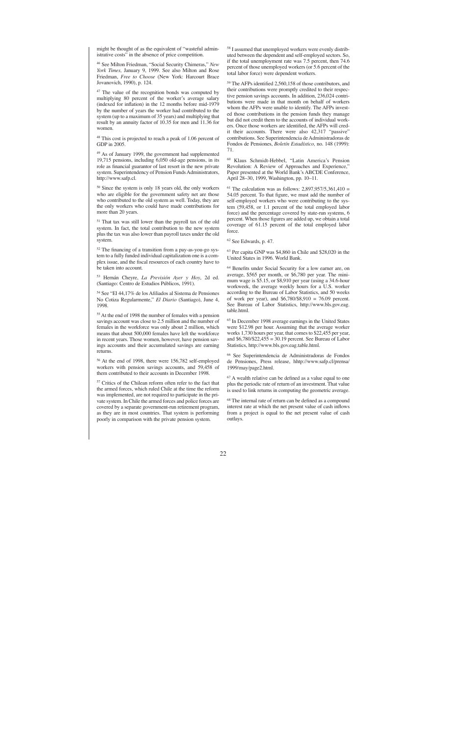might be thought of as the equivalent of "wasteful administrative costs" in the absence of price competition.

<sup>46</sup> See Milton Friedman, "Social Security Chimeras," *New York Times,* January 9, 1999. See also Milton and Rose Friedman, *Free to Choose* (New York: Harcourt Brace Jovanovich, 1990), p. 124.

 $47$  The value of the recognition bonds was computed by multiplying 80 percent of the worker's average salary (indexed for inflation) in the 12 months before mid-1979 by the number of years the worker had contributed to the system (up to a maximum of 35 years) and multiplying that result by an annuity factor of 10.35 for men and 11.36 for women.

<sup>48</sup> This cost is projected to reach a peak of 1.06 percent of GDP in 2005.

<sup>49</sup> As of January 1999, the government had supplemented 19,715 pensions, including 6,050 old-age pensions, in its role as financial guarantor of last resort in the new private system. Superintendency of Pension Funds Administrators, http://www.safp.cl.

<sup>50</sup> Since the system is only 18 years old, the only workers who are eligible for the government safety net are those who contributed to the old system as well. Today, they are the only workers who could have made contributions for more than 20 years.

<sup>51</sup> That tax was still lower than the payroll tax of the old system. In fact, the total contribution to the new system plus the tax was also lower than payroll taxes under the old system.

<sup>52</sup> The financing of a transition from a pay-as-you-go system to a fully funded individual capitalization one is a complex issue, and the fiscal resources of each country have to be taken into account.

<sup>53</sup> Hernán Cheyre, *La Previsión Ayer y Hoy*, 2d ed. (Santiago: Centro de Estudios Públicos, 1991).

<sup>54</sup> See "El 44,17% de los Afiliados al Sistema de Pensiones No Cotiza Regularmente," *El Diario* (Santiago), June 4, 1998.

<sup>55</sup> At the end of 1998 the number of females with a pension savings account was close to 2.5 million and the number of females in the workforce was only about 2 million, which means that about 500,000 females have left the workforce in recent years. Those women, however, have pension savings accounts and their accumulated savings are earning returns.

<sup>56</sup> At the end of 1998, there were 156,782 self-employed workers with pension savings accounts, and 59,458 of them contributed to their accounts in December 1998.

<sup>57</sup> Critics of the Chilean reform often refer to the fact that the armed forces, which ruled Chile at the time the reform was implemented, are not required to participate in the private system. In Chile the armed forces and police forces are covered by a separate government-run retirement program, as they are in most countries. That system is performing poorly in comparison with the private pension system.

<sup>58</sup> I assumed that unemployed workers were evenly distributed between the dependent and self-employed sectors. So, if the total unemployment rate was 7.5 percent, then 74.6 percent of those unemployed workers (or 5.6 percent of the total labor force) were dependent workers.

<sup>59</sup> The AFPs identified 2,560,158 of those contributors, and their contributions were promptly credited to their respective pension savings accounts. In addition, 236,024 contributions were made in that month on behalf of workers whom the AFPs were unable to identify. The AFPs invested those contributions in the pension funds they manage but did not credit them to the accounts of individual workers. Once those workers are identified, the AFPs will credit their accounts. There were also 42,317 "passive" contributions. See Superintendencia de Administradoras de Fondos de Pensiones, *Boletín Estadístico,* no. 148 (1999): 71.

<sup>60</sup> Klaus Schmidt-Hebbel, "Latin America's Pension Revolution: A Review of Approaches and Experience," Paper presented at the World Bank's ABCDE Conference, April 28–30, 1999, Washington, pp. 10–11.

<sup>61</sup> The calculation was as follows: 2,897,957/5,361,410 = 54.05 percent. To that figure, we must add the number of self-employed workers who were contributing to the system (59,458, or 1.1 percent of the total employed labor force) and the percentage covered by state-run systems, 6 percent. When those figures are added up, we obtain a total coverage of 61.15 percent of the total employed labor force.

<sup>62</sup> See Edwards, p. 47.

<sup>63</sup> Per capita GNP was \$4,860 in Chile and \$28,020 in the United States in 1996. World Bank.

<sup>64</sup> Benefits under Social Security for a low earner are, on average, \$565 per month, or \$6,780 per year. The minimum wage is \$5.15, or \$8,910 per year (using a 34.6-hour workweek, the average weekly hours for a U.S. worker according to the Bureau of Labor Statistics, and 50 weeks of work per year), and  $$6,780/\$8,910 = 76.09$  percent. See Bureau of Labor Statistics, http://www.bls.gov.eag. table.html.

<sup>65</sup> In December 1998 average earnings in the United States were \$12.98 per hour. Assuming that the average worker works 1,730 hours per year, that comes to \$22,455 per year, and \$6,780/\$22,455 = 30.19 percent. See Bureau of Labor Statistics, http://www.bls.gov.eag.table.html.

<sup>66</sup> See Superintendencia de Administradoras de Fondos de Pensiones, Press release, hhtp://www.safp.cl/prensa/ 1999/may/page2.html.

<sup>67</sup> A wealth relative can be defined as a value equal to one plus the periodic rate of return of an investment. That value is used to link returns in computing the geometric average.

<sup>68</sup> The internal rate of return can be defined as a compound interest rate at which the net present value of cash inflows from a project is equal to the net present value of cash outlays.